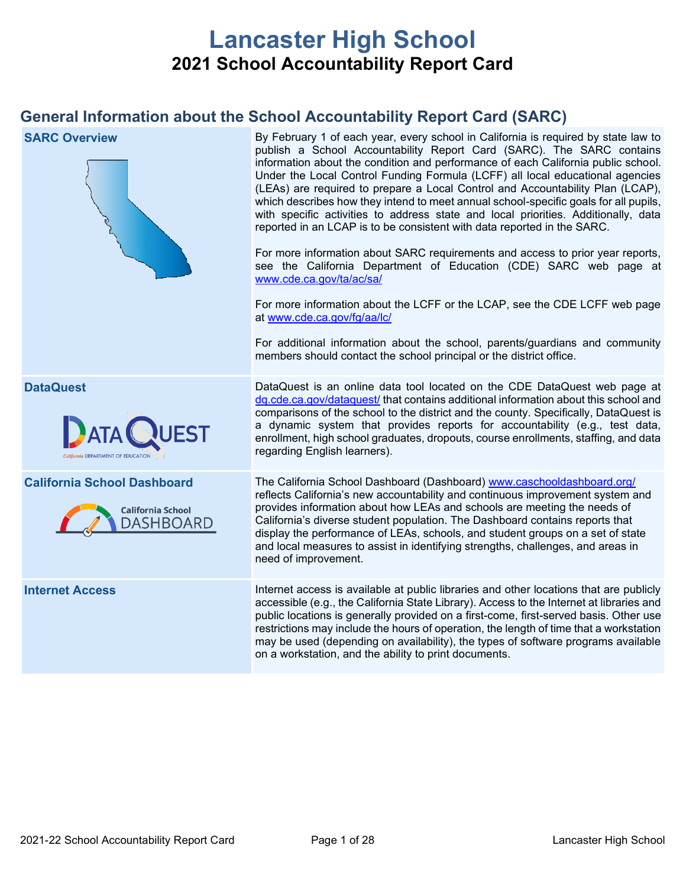# **Lancaster High School 2021 School Accountability Report Card**

# **General Information about the School Accountability Report Card (SARC)**

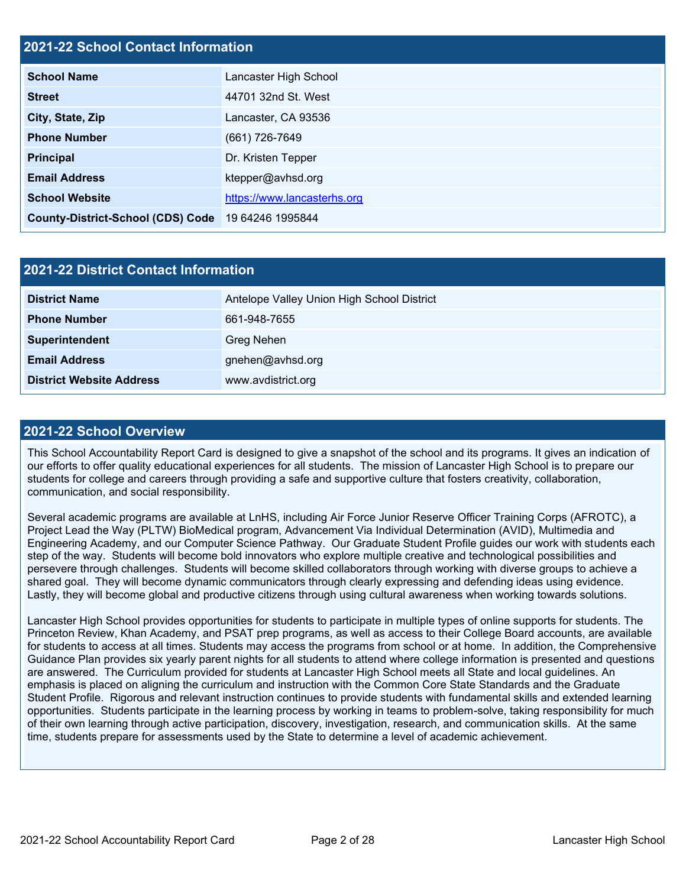### **2021-22 School Contact Information**

| <b>School Name</b>                       | Lancaster High School       |  |  |
|------------------------------------------|-----------------------------|--|--|
| <b>Street</b>                            | 44701 32nd St. West         |  |  |
| City, State, Zip                         | Lancaster, CA 93536         |  |  |
| <b>Phone Number</b>                      | (661) 726-7649              |  |  |
| <b>Principal</b>                         | Dr. Kristen Tepper          |  |  |
| <b>Email Address</b>                     | ktepper@avhsd.org           |  |  |
| <b>School Website</b>                    | https://www.lancasterhs.org |  |  |
| <b>County-District-School (CDS) Code</b> | 19 64246 1995844            |  |  |

| <b>2021-22 District Contact Information</b> |                                            |  |  |  |
|---------------------------------------------|--------------------------------------------|--|--|--|
| <b>District Name</b>                        | Antelope Valley Union High School District |  |  |  |
| <b>Phone Number</b>                         | 661-948-7655                               |  |  |  |
| Superintendent                              | <b>Greg Nehen</b>                          |  |  |  |
| <b>Email Address</b>                        | gnehen@avhsd.org                           |  |  |  |
| <b>District Website Address</b>             | www.avdistrict.org                         |  |  |  |

### **2021-22 School Overview**

This School Accountability Report Card is designed to give a snapshot of the school and its programs. It gives an indication of our efforts to offer quality educational experiences for all students. The mission of Lancaster High School is to prepare our students for college and careers through providing a safe and supportive culture that fosters creativity, collaboration, communication, and social responsibility.

Several academic programs are available at LnHS, including Air Force Junior Reserve Officer Training Corps (AFROTC), a Project Lead the Way (PLTW) BioMedical program, Advancement Via Individual Determination (AVID), Multimedia and Engineering Academy, and our Computer Science Pathway. Our Graduate Student Profile guides our work with students each step of the way. Students will become bold innovators who explore multiple creative and technological possibilities and persevere through challenges. Students will become skilled collaborators through working with diverse groups to achieve a shared goal. They will become dynamic communicators through clearly expressing and defending ideas using evidence. Lastly, they will become global and productive citizens through using cultural awareness when working towards solutions.

Lancaster High School provides opportunities for students to participate in multiple types of online supports for students. The Princeton Review, Khan Academy, and PSAT prep programs, as well as access to their College Board accounts, are available for students to access at all times. Students may access the programs from school or at home. In addition, the Comprehensive Guidance Plan provides six yearly parent nights for all students to attend where college information is presented and questions are answered. The Curriculum provided for students at Lancaster High School meets all State and local guidelines. An emphasis is placed on aligning the curriculum and instruction with the Common Core State Standards and the Graduate Student Profile. Rigorous and relevant instruction continues to provide students with fundamental skills and extended learning opportunities. Students participate in the learning process by working in teams to problem-solve, taking responsibility for much of their own learning through active participation, discovery, investigation, research, and communication skills. At the same time, students prepare for assessments used by the State to determine a level of academic achievement.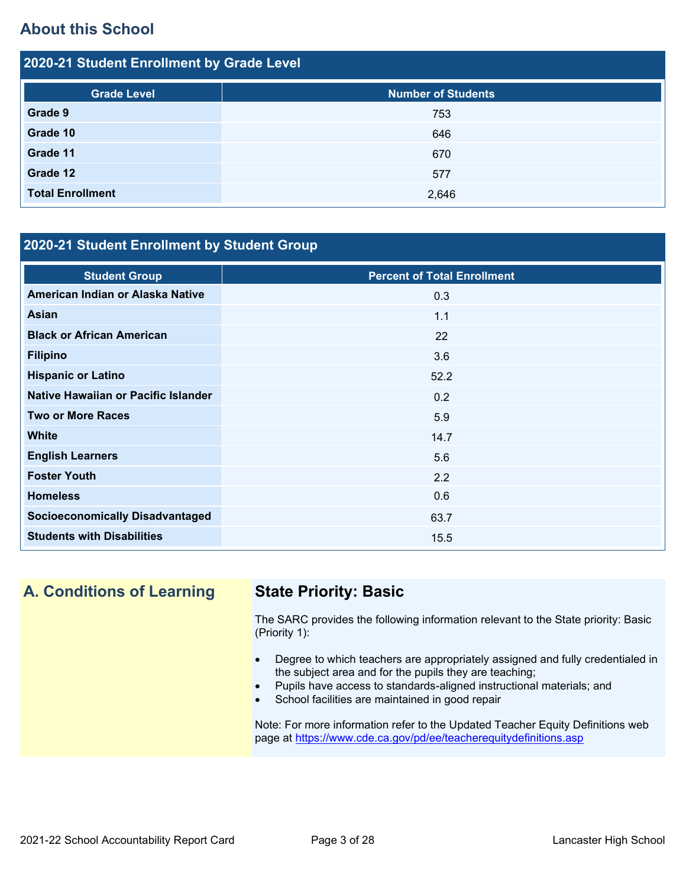# **About this School**

| 2020-21 Student Enrollment by Grade Level |                           |  |  |  |  |
|-------------------------------------------|---------------------------|--|--|--|--|
| <b>Grade Level</b>                        | <b>Number of Students</b> |  |  |  |  |
| Grade 9                                   | 753                       |  |  |  |  |
| Grade 10                                  | 646                       |  |  |  |  |
| Grade 11                                  | 670                       |  |  |  |  |
| Grade 12                                  | 577                       |  |  |  |  |
| <b>Total Enrollment</b>                   | 2,646                     |  |  |  |  |

### **2020-21 Student Enrollment by Student Group**

| <b>Student Group</b>                   | <b>Percent of Total Enrollment</b> |
|----------------------------------------|------------------------------------|
| American Indian or Alaska Native       | 0.3                                |
| <b>Asian</b>                           | 1.1                                |
| <b>Black or African American</b>       | 22                                 |
| <b>Filipino</b>                        | 3.6                                |
| <b>Hispanic or Latino</b>              | 52.2                               |
| Native Hawaiian or Pacific Islander    | 0.2                                |
| <b>Two or More Races</b>               | 5.9                                |
| <b>White</b>                           | 14.7                               |
| <b>English Learners</b>                | 5.6                                |
| <b>Foster Youth</b>                    | 2.2                                |
| <b>Homeless</b>                        | 0.6                                |
| <b>Socioeconomically Disadvantaged</b> | 63.7                               |
| <b>Students with Disabilities</b>      | 15.5                               |

# **A. Conditions of Learning State Priority: Basic**

The SARC provides the following information relevant to the State priority: Basic (Priority 1):

- Degree to which teachers are appropriately assigned and fully credentialed in the subject area and for the pupils they are teaching;
- Pupils have access to standards-aligned instructional materials; and
- School facilities are maintained in good repair

Note: For more information refer to the Updated Teacher Equity Definitions web page at<https://www.cde.ca.gov/pd/ee/teacherequitydefinitions.asp>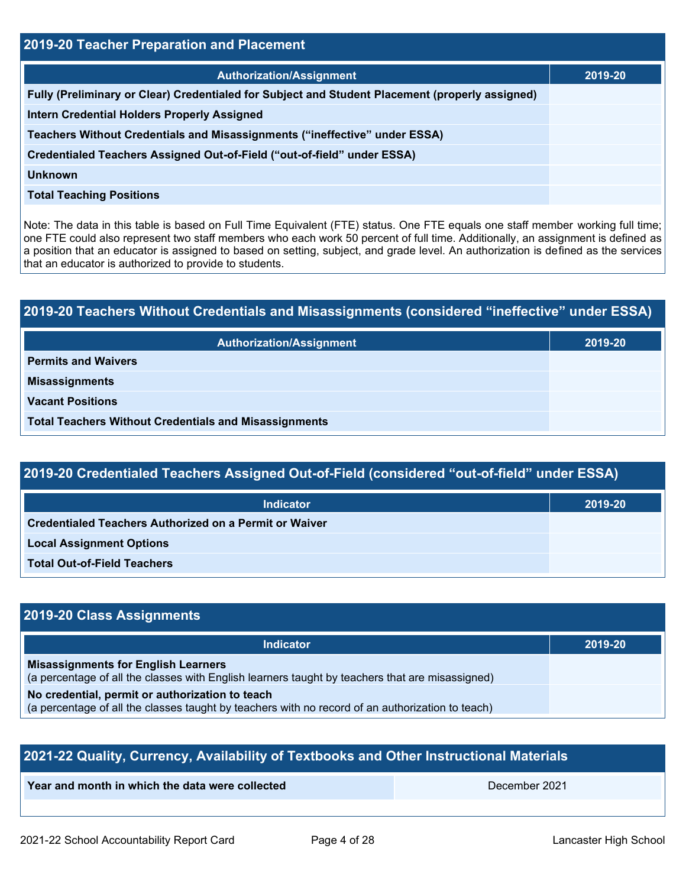| 2019-20 Teacher Preparation and Placement                                                       |         |  |  |
|-------------------------------------------------------------------------------------------------|---------|--|--|
| <b>Authorization/Assignment</b>                                                                 | 2019-20 |  |  |
| Fully (Preliminary or Clear) Credentialed for Subject and Student Placement (properly assigned) |         |  |  |
| <b>Intern Credential Holders Properly Assigned</b>                                              |         |  |  |
| Teachers Without Credentials and Misassignments ("ineffective" under ESSA)                      |         |  |  |
| Credentialed Teachers Assigned Out-of-Field ("out-of-field" under ESSA)                         |         |  |  |
| <b>Unknown</b>                                                                                  |         |  |  |
| <b>Total Teaching Positions</b>                                                                 |         |  |  |
|                                                                                                 |         |  |  |

Note: The data in this table is based on Full Time Equivalent (FTE) status. One FTE equals one staff member working full time; one FTE could also represent two staff members who each work 50 percent of full time. Additionally, an assignment is defined as a position that an educator is assigned to based on setting, subject, and grade level. An authorization is defined as the services that an educator is authorized to provide to students.

# **2019-20 Teachers Without Credentials and Misassignments (considered "ineffective" under ESSA) Authorization/Assignment 2019-20 Permits and Waivers Misassignments Vacant Positions Total Teachers Without Credentials and Misassignments**

# **2019-20 Credentialed Teachers Assigned Out-of-Field (considered "out-of-field" under ESSA)**

| <b>Indicator</b>                                              | 2019-20 |  |  |
|---------------------------------------------------------------|---------|--|--|
| <b>Credentialed Teachers Authorized on a Permit or Waiver</b> |         |  |  |
| <b>Local Assignment Options</b>                               |         |  |  |
| <b>Total Out-of-Field Teachers</b>                            |         |  |  |

### **2019-20 Class Assignments**

| <b>Indicator</b>                                                                                                                              | 2019-20 |
|-----------------------------------------------------------------------------------------------------------------------------------------------|---------|
| <b>Misassignments for English Learners</b><br>(a percentage of all the classes with English learners taught by teachers that are misassigned) |         |
| No credential, permit or authorization to teach                                                                                               |         |
| (a percentage of all the classes taught by teachers with no record of an authorization to teach)                                              |         |

| 2021-22 Quality, Currency, Availability of Textbooks and Other Instructional Materials |  |  |  |  |  |
|----------------------------------------------------------------------------------------|--|--|--|--|--|
| Year and month in which the data were collected<br>December 2021                       |  |  |  |  |  |
|                                                                                        |  |  |  |  |  |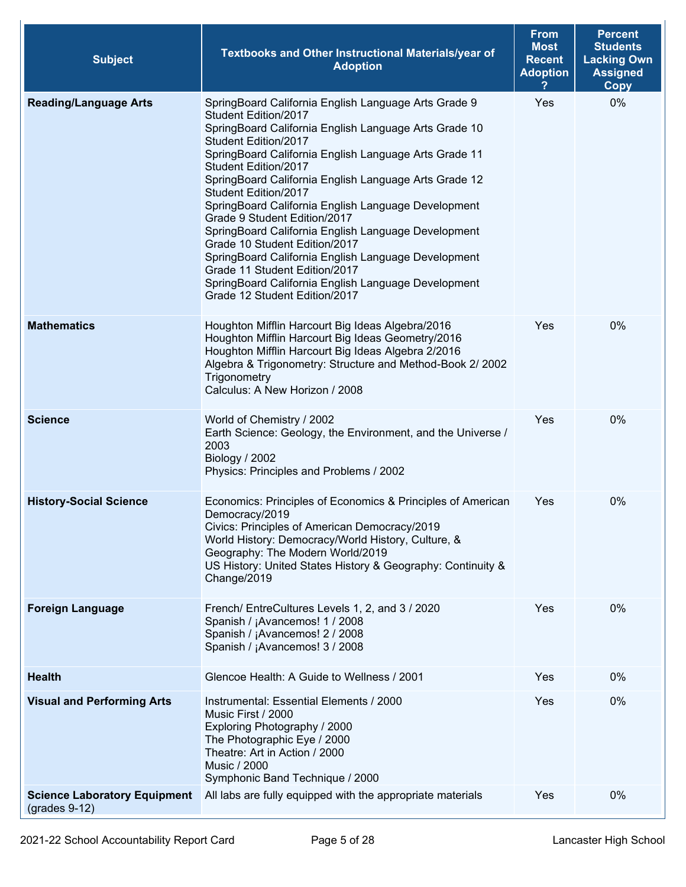| <b>Subject</b>                                         | Textbooks and Other Instructional Materials/year of<br><b>Adoption</b>                                                                                                                                                                                                                                                                                                                                                                                                                                                                                                                                                                                                                         | <b>From</b><br><b>Most</b><br><b>Recent</b><br><b>Adoption</b> | <b>Percent</b><br><b>Students</b><br><b>Lacking Own</b><br><b>Assigned</b><br><b>Copy</b> |
|--------------------------------------------------------|------------------------------------------------------------------------------------------------------------------------------------------------------------------------------------------------------------------------------------------------------------------------------------------------------------------------------------------------------------------------------------------------------------------------------------------------------------------------------------------------------------------------------------------------------------------------------------------------------------------------------------------------------------------------------------------------|----------------------------------------------------------------|-------------------------------------------------------------------------------------------|
| <b>Reading/Language Arts</b>                           | SpringBoard California English Language Arts Grade 9<br>Student Edition/2017<br>SpringBoard California English Language Arts Grade 10<br>Student Edition/2017<br>SpringBoard California English Language Arts Grade 11<br>Student Edition/2017<br>SpringBoard California English Language Arts Grade 12<br>Student Edition/2017<br>SpringBoard California English Language Development<br>Grade 9 Student Edition/2017<br>SpringBoard California English Language Development<br>Grade 10 Student Edition/2017<br>SpringBoard California English Language Development<br>Grade 11 Student Edition/2017<br>SpringBoard California English Language Development<br>Grade 12 Student Edition/2017 | Yes                                                            | 0%                                                                                        |
| <b>Mathematics</b>                                     | Houghton Mifflin Harcourt Big Ideas Algebra/2016<br>Houghton Mifflin Harcourt Big Ideas Geometry/2016<br>Houghton Mifflin Harcourt Big Ideas Algebra 2/2016<br>Algebra & Trigonometry: Structure and Method-Book 2/2002<br>Trigonometry<br>Calculus: A New Horizon / 2008                                                                                                                                                                                                                                                                                                                                                                                                                      | Yes                                                            | 0%                                                                                        |
| <b>Science</b>                                         | World of Chemistry / 2002<br>Earth Science: Geology, the Environment, and the Universe /<br>2003<br>Biology / 2002<br>Physics: Principles and Problems / 2002                                                                                                                                                                                                                                                                                                                                                                                                                                                                                                                                  | Yes                                                            | 0%                                                                                        |
| <b>History-Social Science</b>                          | Economics: Principles of Economics & Principles of American<br>Democracy/2019<br>Civics: Principles of American Democracy/2019<br>World History: Democracy/World History, Culture, &<br>Geography: The Modern World/2019<br>US History: United States History & Geography: Continuity &<br>Change/2019                                                                                                                                                                                                                                                                                                                                                                                         | Yes                                                            | 0%                                                                                        |
| <b>Foreign Language</b>                                | French/ EntreCultures Levels 1, 2, and 3 / 2020<br>Spanish / ¡Avancemos! 1 / 2008<br>Spanish / ¡Avancemos! 2 / 2008<br>Spanish / ¡Avancemos! 3 / 2008                                                                                                                                                                                                                                                                                                                                                                                                                                                                                                                                          | Yes                                                            | 0%                                                                                        |
| <b>Health</b>                                          | Glencoe Health: A Guide to Wellness / 2001                                                                                                                                                                                                                                                                                                                                                                                                                                                                                                                                                                                                                                                     | Yes                                                            | 0%                                                                                        |
| <b>Visual and Performing Arts</b>                      | Instrumental: Essential Elements / 2000<br>Music First / 2000<br>Exploring Photography / 2000<br>The Photographic Eye / 2000<br>Theatre: Art in Action / 2000<br><b>Music / 2000</b><br>Symphonic Band Technique / 2000                                                                                                                                                                                                                                                                                                                                                                                                                                                                        | Yes                                                            | 0%                                                                                        |
| <b>Science Laboratory Equipment</b><br>$(grades 9-12)$ | All labs are fully equipped with the appropriate materials                                                                                                                                                                                                                                                                                                                                                                                                                                                                                                                                                                                                                                     | Yes                                                            | 0%                                                                                        |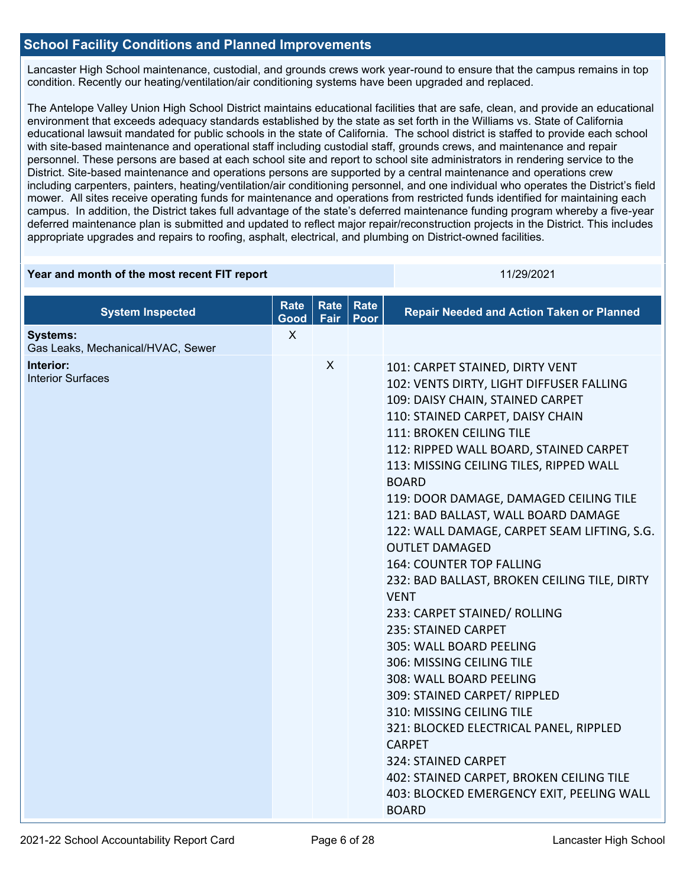### **School Facility Conditions and Planned Improvements**

Lancaster High School maintenance, custodial, and grounds crews work year-round to ensure that the campus remains in top condition. Recently our heating/ventilation/air conditioning systems have been upgraded and replaced.

The Antelope Valley Union High School District maintains educational facilities that are safe, clean, and provide an educational environment that exceeds adequacy standards established by the state as set forth in the Williams vs. State of California educational lawsuit mandated for public schools in the state of California. The school district is staffed to provide each school with site-based maintenance and operational staff including custodial staff, grounds crews, and maintenance and repair personnel. These persons are based at each school site and report to school site administrators in rendering service to the District. Site-based maintenance and operations persons are supported by a central maintenance and operations crew including carpenters, painters, heating/ventilation/air conditioning personnel, and one individual who operates the District's field mower. All sites receive operating funds for maintenance and operations from restricted funds identified for maintaining each campus. In addition, the District takes full advantage of the state's deferred maintenance funding program whereby a five-year deferred maintenance plan is submitted and updated to reflect major repair/reconstruction projects in the District. This includes appropriate upgrades and repairs to roofing, asphalt, electrical, and plumbing on District-owned facilities.

| Year and month of the most recent FIT report         |                     |                     | 11/29/2021   |                                                                                                                                                                                                                                                                                                                                                                                                                                                                                                                                                                                                                                                                                                                                                                                                                                                                                                                                                   |
|------------------------------------------------------|---------------------|---------------------|--------------|---------------------------------------------------------------------------------------------------------------------------------------------------------------------------------------------------------------------------------------------------------------------------------------------------------------------------------------------------------------------------------------------------------------------------------------------------------------------------------------------------------------------------------------------------------------------------------------------------------------------------------------------------------------------------------------------------------------------------------------------------------------------------------------------------------------------------------------------------------------------------------------------------------------------------------------------------|
| <b>System Inspected</b>                              | <b>Rate</b><br>Good | <b>Rate</b><br>Fair | Rate<br>Poor | <b>Repair Needed and Action Taken or Planned</b>                                                                                                                                                                                                                                                                                                                                                                                                                                                                                                                                                                                                                                                                                                                                                                                                                                                                                                  |
| <b>Systems:</b><br>Gas Leaks, Mechanical/HVAC, Sewer | X                   |                     |              |                                                                                                                                                                                                                                                                                                                                                                                                                                                                                                                                                                                                                                                                                                                                                                                                                                                                                                                                                   |
| Interior:<br><b>Interior Surfaces</b>                |                     | X                   |              | 101: CARPET STAINED, DIRTY VENT<br>102: VENTS DIRTY, LIGHT DIFFUSER FALLING<br>109: DAISY CHAIN, STAINED CARPET<br>110: STAINED CARPET, DAISY CHAIN<br>111: BROKEN CEILING TILE<br>112: RIPPED WALL BOARD, STAINED CARPET<br>113: MISSING CEILING TILES, RIPPED WALL<br><b>BOARD</b><br>119: DOOR DAMAGE, DAMAGED CEILING TILE<br>121: BAD BALLAST, WALL BOARD DAMAGE<br>122: WALL DAMAGE, CARPET SEAM LIFTING, S.G.<br><b>OUTLET DAMAGED</b><br><b>164: COUNTER TOP FALLING</b><br>232: BAD BALLAST, BROKEN CEILING TILE, DIRTY<br><b>VENT</b><br>233: CARPET STAINED/ ROLLING<br>235: STAINED CARPET<br>305: WALL BOARD PEELING<br>306: MISSING CEILING TILE<br>308: WALL BOARD PEELING<br>309: STAINED CARPET/ RIPPLED<br>310: MISSING CEILING TILE<br>321: BLOCKED ELECTRICAL PANEL, RIPPLED<br><b>CARPET</b><br>324: STAINED CARPET<br>402: STAINED CARPET, BROKEN CEILING TILE<br>403: BLOCKED EMERGENCY EXIT, PEELING WALL<br><b>BOARD</b> |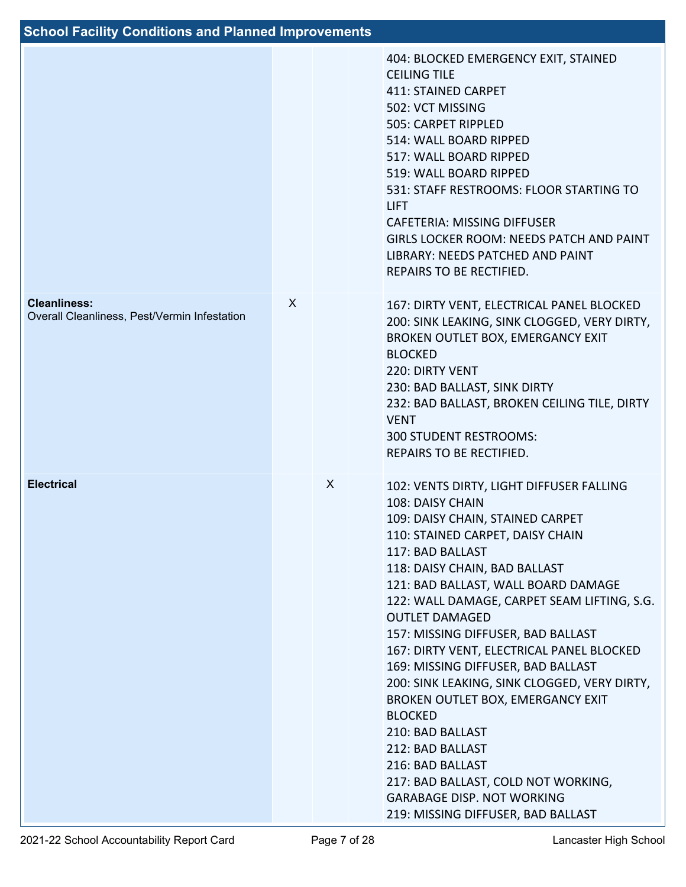# **School Facility Conditions and Planned Improvements**

|                                                                     |   |   | 404: BLOCKED EMERGENCY EXIT, STAINED<br><b>CEILING TILE</b><br><b>411: STAINED CARPET</b><br>502: VCT MISSING<br>505: CARPET RIPPLED<br>514: WALL BOARD RIPPED<br>517: WALL BOARD RIPPED<br>519: WALL BOARD RIPPED<br>531: STAFF RESTROOMS: FLOOR STARTING TO<br><b>LIFT</b><br><b>CAFETERIA: MISSING DIFFUSER</b><br>GIRLS LOCKER ROOM: NEEDS PATCH AND PAINT<br>LIBRARY: NEEDS PATCHED AND PAINT<br>REPAIRS TO BE RECTIFIED.                                                                                                                                                                                                                                                                                         |
|---------------------------------------------------------------------|---|---|------------------------------------------------------------------------------------------------------------------------------------------------------------------------------------------------------------------------------------------------------------------------------------------------------------------------------------------------------------------------------------------------------------------------------------------------------------------------------------------------------------------------------------------------------------------------------------------------------------------------------------------------------------------------------------------------------------------------|
| <b>Cleanliness:</b><br>Overall Cleanliness, Pest/Vermin Infestation | X |   | 167: DIRTY VENT, ELECTRICAL PANEL BLOCKED<br>200: SINK LEAKING, SINK CLOGGED, VERY DIRTY,<br>BROKEN OUTLET BOX, EMERGANCY EXIT<br><b>BLOCKED</b><br>220: DIRTY VENT<br>230: BAD BALLAST, SINK DIRTY<br>232: BAD BALLAST, BROKEN CEILING TILE, DIRTY<br><b>VENT</b><br><b>300 STUDENT RESTROOMS:</b><br>REPAIRS TO BE RECTIFIED.                                                                                                                                                                                                                                                                                                                                                                                        |
| <b>Electrical</b>                                                   |   | X | 102: VENTS DIRTY, LIGHT DIFFUSER FALLING<br>108: DAISY CHAIN<br>109: DAISY CHAIN, STAINED CARPET<br>110: STAINED CARPET, DAISY CHAIN<br>117: BAD BALLAST<br>118: DAISY CHAIN, BAD BALLAST<br>121: BAD BALLAST, WALL BOARD DAMAGE<br>122: WALL DAMAGE, CARPET SEAM LIFTING, S.G.<br><b>OUTLET DAMAGED</b><br>157: MISSING DIFFUSER, BAD BALLAST<br>167: DIRTY VENT, ELECTRICAL PANEL BLOCKED<br>169: MISSING DIFFUSER, BAD BALLAST<br>200: SINK LEAKING, SINK CLOGGED, VERY DIRTY,<br>BROKEN OUTLET BOX, EMERGANCY EXIT<br><b>BLOCKED</b><br>210: BAD BALLAST<br>212: BAD BALLAST<br>216: BAD BALLAST<br>217: BAD BALLAST, COLD NOT WORKING,<br><b>GARABAGE DISP. NOT WORKING</b><br>219: MISSING DIFFUSER, BAD BALLAST |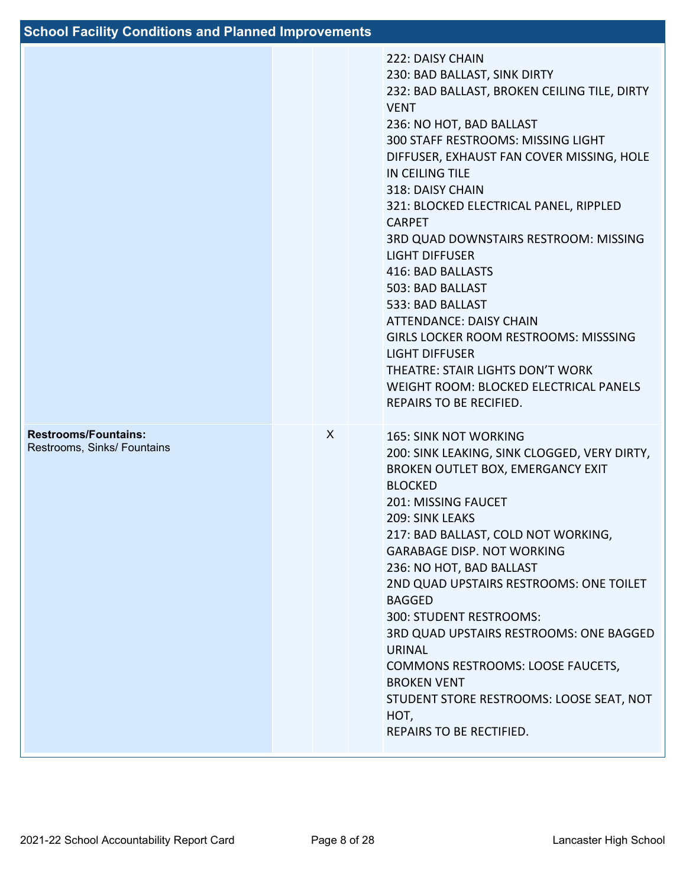| <b>School Facility Conditions and Planned Improvements</b> |   |                                                                                                                                                                                                                                                                                                                                                                                                                                                                                                                                                                                                                                                                                            |
|------------------------------------------------------------|---|--------------------------------------------------------------------------------------------------------------------------------------------------------------------------------------------------------------------------------------------------------------------------------------------------------------------------------------------------------------------------------------------------------------------------------------------------------------------------------------------------------------------------------------------------------------------------------------------------------------------------------------------------------------------------------------------|
|                                                            |   | 222: DAISY CHAIN<br>230: BAD BALLAST, SINK DIRTY<br>232: BAD BALLAST, BROKEN CEILING TILE, DIRTY<br><b>VENT</b><br>236: NO HOT, BAD BALLAST<br>300 STAFF RESTROOMS: MISSING LIGHT<br>DIFFUSER, EXHAUST FAN COVER MISSING, HOLE<br><b>IN CEILING TILE</b><br>318: DAISY CHAIN<br>321: BLOCKED ELECTRICAL PANEL, RIPPLED<br><b>CARPET</b><br>3RD QUAD DOWNSTAIRS RESTROOM: MISSING<br><b>LIGHT DIFFUSER</b><br>416: BAD BALLASTS<br>503: BAD BALLAST<br>533: BAD BALLAST<br><b>ATTENDANCE: DAISY CHAIN</b><br><b>GIRLS LOCKER ROOM RESTROOMS: MISSSING</b><br><b>LIGHT DIFFUSER</b><br>THEATRE: STAIR LIGHTS DON'T WORK<br>WEIGHT ROOM: BLOCKED ELECTRICAL PANELS<br>REPAIRS TO BE RECIFIED. |
| <b>Restrooms/Fountains:</b><br>Restrooms, Sinks/ Fountains | X | <b>165: SINK NOT WORKING</b><br>200: SINK LEAKING, SINK CLOGGED, VERY DIRTY,<br>BROKEN OUTLET BOX, EMERGANCY EXIT<br><b>BLOCKED</b><br><b>201: MISSING FAUCET</b><br>209: SINK LEAKS<br>217: BAD BALLAST, COLD NOT WORKING,<br><b>GARABAGE DISP. NOT WORKING</b><br>236: NO HOT, BAD BALLAST<br>2ND QUAD UPSTAIRS RESTROOMS: ONE TOILET<br><b>BAGGED</b><br>300: STUDENT RESTROOMS:<br>3RD QUAD UPSTAIRS RESTROOMS: ONE BAGGED<br>URINAL<br><b>COMMONS RESTROOMS: LOOSE FAUCETS,</b><br><b>BROKEN VENT</b><br>STUDENT STORE RESTROOMS: LOOSE SEAT, NOT<br>HOT,<br>REPAIRS TO BE RECTIFIED.                                                                                                 |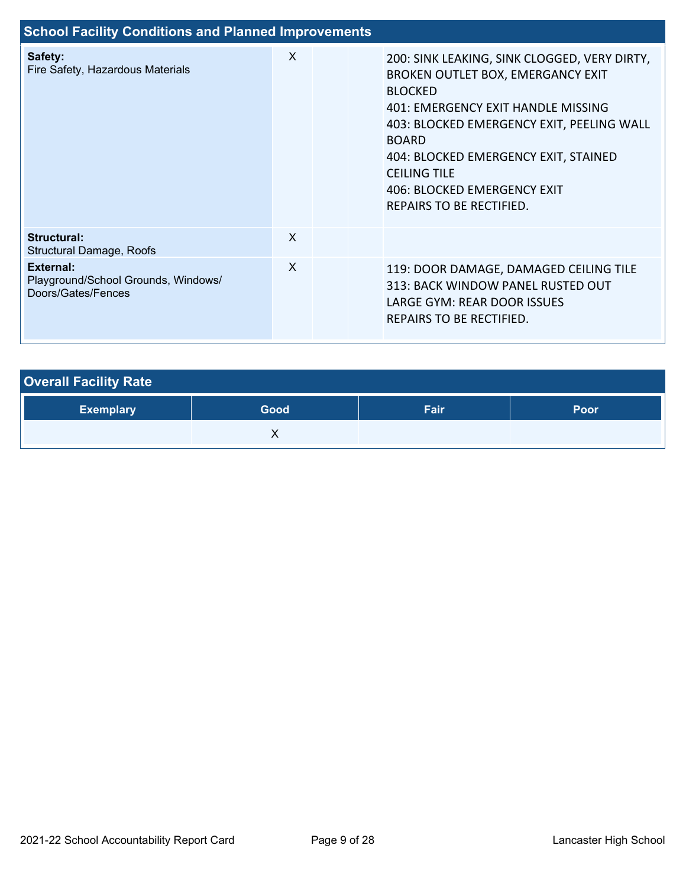| <b>School Facility Conditions and Planned Improvements</b>             |   |  |                                                                                                                                                                                                                                                                                                                                  |  |  |  |  |
|------------------------------------------------------------------------|---|--|----------------------------------------------------------------------------------------------------------------------------------------------------------------------------------------------------------------------------------------------------------------------------------------------------------------------------------|--|--|--|--|
| Safety:<br>Fire Safety, Hazardous Materials                            | X |  | 200: SINK LEAKING, SINK CLOGGED, VERY DIRTY,<br>BROKEN OUTLET BOX, EMERGANCY EXIT<br><b>BLOCKED</b><br>401: EMERGENCY EXIT HANDLE MISSING<br>403: BLOCKED EMERGENCY EXIT, PEELING WALL<br><b>BOARD</b><br>404: BLOCKED EMERGENCY EXIT, STAINED<br><b>CEILING TILE</b><br>406: BLOCKED EMERGENCY EXIT<br>REPAIRS TO BE RECTIFIED. |  |  |  |  |
| Structural:<br>Structural Damage, Roofs                                | X |  |                                                                                                                                                                                                                                                                                                                                  |  |  |  |  |
| External:<br>Playground/School Grounds, Windows/<br>Doors/Gates/Fences | X |  | 119: DOOR DAMAGE, DAMAGED CEILING TILE<br>313: BACK WINDOW PANEL RUSTED OUT<br>LARGE GYM: REAR DOOR ISSUES<br>REPAIRS TO BE RECTIFIED.                                                                                                                                                                                           |  |  |  |  |

| <b>Overall Facility Rate</b> |      |      |             |
|------------------------------|------|------|-------------|
| <b>Exemplary</b>             | Good | Fair | <b>Poor</b> |
|                              |      |      |             |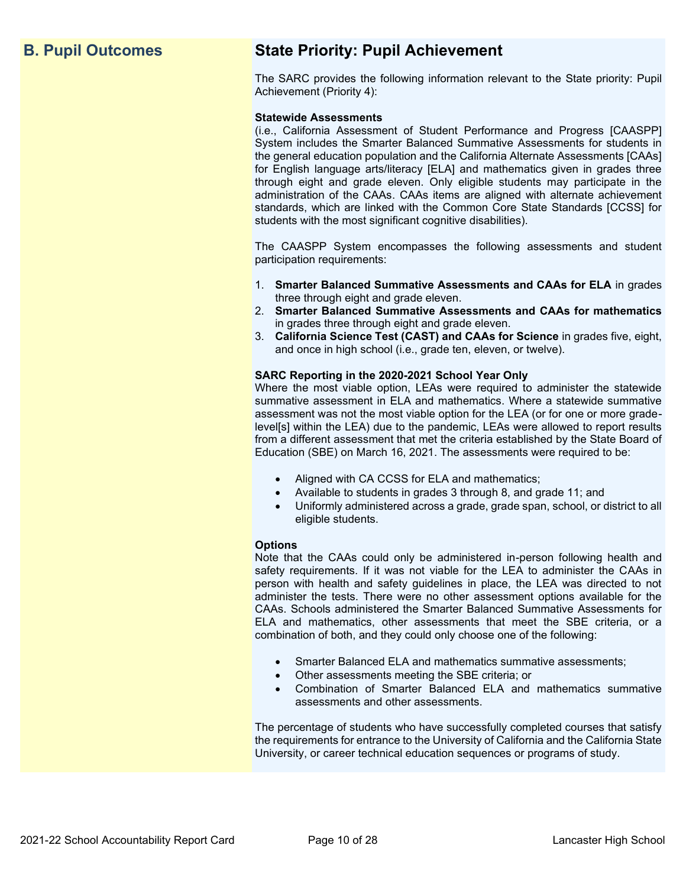# **B. Pupil Outcomes State Priority: Pupil Achievement**

The SARC provides the following information relevant to the State priority: Pupil Achievement (Priority 4):

### **Statewide Assessments**

(i.e., California Assessment of Student Performance and Progress [CAASPP] System includes the Smarter Balanced Summative Assessments for students in the general education population and the California Alternate Assessments [CAAs] for English language arts/literacy [ELA] and mathematics given in grades three through eight and grade eleven. Only eligible students may participate in the administration of the CAAs. CAAs items are aligned with alternate achievement standards, which are linked with the Common Core State Standards [CCSS] for students with the most significant cognitive disabilities).

The CAASPP System encompasses the following assessments and student participation requirements:

- 1. **Smarter Balanced Summative Assessments and CAAs for ELA** in grades three through eight and grade eleven.
- 2. **Smarter Balanced Summative Assessments and CAAs for mathematics** in grades three through eight and grade eleven.
- 3. **California Science Test (CAST) and CAAs for Science** in grades five, eight, and once in high school (i.e., grade ten, eleven, or twelve).

### **SARC Reporting in the 2020-2021 School Year Only**

Where the most viable option, LEAs were required to administer the statewide summative assessment in ELA and mathematics. Where a statewide summative assessment was not the most viable option for the LEA (or for one or more gradelevel[s] within the LEA) due to the pandemic, LEAs were allowed to report results from a different assessment that met the criteria established by the State Board of Education (SBE) on March 16, 2021. The assessments were required to be:

- Aligned with CA CCSS for ELA and mathematics;
- Available to students in grades 3 through 8, and grade 11; and
- Uniformly administered across a grade, grade span, school, or district to all eligible students.

### **Options**

Note that the CAAs could only be administered in-person following health and safety requirements. If it was not viable for the LEA to administer the CAAs in person with health and safety guidelines in place, the LEA was directed to not administer the tests. There were no other assessment options available for the CAAs. Schools administered the Smarter Balanced Summative Assessments for ELA and mathematics, other assessments that meet the SBE criteria, or a combination of both, and they could only choose one of the following:

- Smarter Balanced ELA and mathematics summative assessments;
- Other assessments meeting the SBE criteria; or
- Combination of Smarter Balanced ELA and mathematics summative assessments and other assessments.

The percentage of students who have successfully completed courses that satisfy the requirements for entrance to the University of California and the California State University, or career technical education sequences or programs of study.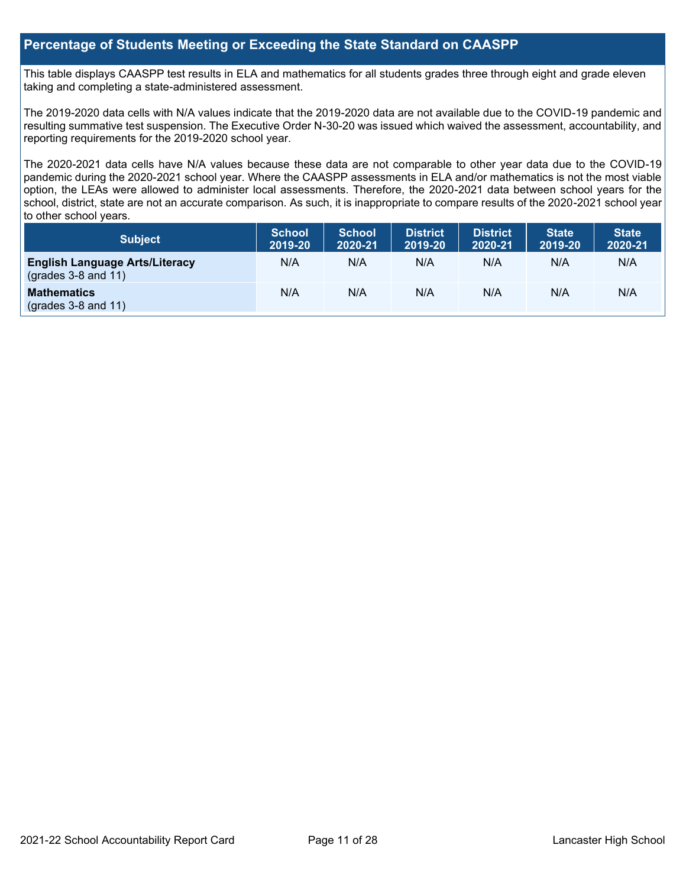### **Percentage of Students Meeting or Exceeding the State Standard on CAASPP**

This table displays CAASPP test results in ELA and mathematics for all students grades three through eight and grade eleven taking and completing a state-administered assessment.

The 2019-2020 data cells with N/A values indicate that the 2019-2020 data are not available due to the COVID-19 pandemic and resulting summative test suspension. The Executive Order N-30-20 was issued which waived the assessment, accountability, and reporting requirements for the 2019-2020 school year.

The 2020-2021 data cells have N/A values because these data are not comparable to other year data due to the COVID-19 pandemic during the 2020-2021 school year. Where the CAASPP assessments in ELA and/or mathematics is not the most viable option, the LEAs were allowed to administer local assessments. Therefore, the 2020-2021 data between school years for the school, district, state are not an accurate comparison. As such, it is inappropriate to compare results of the 2020-2021 school year to other school years.

| <b>Subject</b>                                                       | <b>School</b><br>2019-20 | <b>School</b><br>2020-21 | <b>District</b><br>2019-20 | <b>District</b><br>2020-21 | <b>State</b><br>2019-20 | <b>State</b><br>2020-21 |
|----------------------------------------------------------------------|--------------------------|--------------------------|----------------------------|----------------------------|-------------------------|-------------------------|
| <b>English Language Arts/Literacy</b><br>$\left($ grades 3-8 and 11) | N/A                      | N/A                      | N/A                        | N/A                        | N/A                     | N/A                     |
| <b>Mathematics</b><br>$($ grades 3-8 and 11 $)$                      | N/A                      | N/A                      | N/A                        | N/A                        | N/A                     | N/A                     |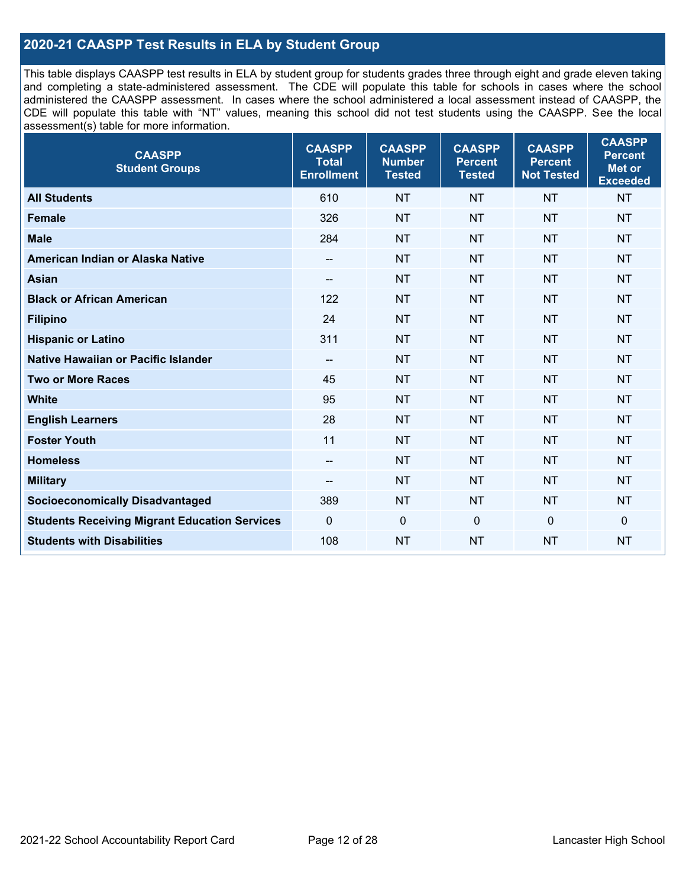### **2020-21 CAASPP Test Results in ELA by Student Group**

This table displays CAASPP test results in ELA by student group for students grades three through eight and grade eleven taking and completing a state-administered assessment. The CDE will populate this table for schools in cases where the school administered the CAASPP assessment. In cases where the school administered a local assessment instead of CAASPP, the CDE will populate this table with "NT" values, meaning this school did not test students using the CAASPP. See the local assessment(s) table for more information.

| <b>CAASPP</b><br><b>Student Groups</b>               | <b>CAASPP</b><br><b>Total</b><br><b>Enrollment</b> | <b>CAASPP</b><br><b>Number</b><br><b>Tested</b> | <b>CAASPP</b><br><b>Percent</b><br><b>Tested</b> | <b>CAASPP</b><br><b>Percent</b><br><b>Not Tested</b> | <b>CAASPP</b><br><b>Percent</b><br>Met or<br><b>Exceeded</b> |
|------------------------------------------------------|----------------------------------------------------|-------------------------------------------------|--------------------------------------------------|------------------------------------------------------|--------------------------------------------------------------|
| <b>All Students</b>                                  | 610                                                | <b>NT</b>                                       | <b>NT</b>                                        | <b>NT</b>                                            | <b>NT</b>                                                    |
| <b>Female</b>                                        | 326                                                | <b>NT</b>                                       | <b>NT</b>                                        | <b>NT</b>                                            | <b>NT</b>                                                    |
| <b>Male</b>                                          | 284                                                | <b>NT</b>                                       | <b>NT</b>                                        | <b>NT</b>                                            | <b>NT</b>                                                    |
| American Indian or Alaska Native                     | --                                                 | <b>NT</b>                                       | <b>NT</b>                                        | <b>NT</b>                                            | <b>NT</b>                                                    |
| <b>Asian</b>                                         | --                                                 | <b>NT</b>                                       | <b>NT</b>                                        | <b>NT</b>                                            | <b>NT</b>                                                    |
| <b>Black or African American</b>                     | 122                                                | <b>NT</b>                                       | <b>NT</b>                                        | <b>NT</b>                                            | <b>NT</b>                                                    |
| <b>Filipino</b>                                      | 24                                                 | <b>NT</b>                                       | <b>NT</b>                                        | <b>NT</b>                                            | <b>NT</b>                                                    |
| <b>Hispanic or Latino</b>                            | 311                                                | <b>NT</b>                                       | <b>NT</b>                                        | <b>NT</b>                                            | <b>NT</b>                                                    |
| <b>Native Hawaiian or Pacific Islander</b>           | $\overline{\phantom{a}}$                           | <b>NT</b>                                       | <b>NT</b>                                        | <b>NT</b>                                            | <b>NT</b>                                                    |
| <b>Two or More Races</b>                             | 45                                                 | <b>NT</b>                                       | <b>NT</b>                                        | <b>NT</b>                                            | <b>NT</b>                                                    |
| <b>White</b>                                         | 95                                                 | <b>NT</b>                                       | <b>NT</b>                                        | <b>NT</b>                                            | <b>NT</b>                                                    |
| <b>English Learners</b>                              | 28                                                 | <b>NT</b>                                       | <b>NT</b>                                        | <b>NT</b>                                            | <b>NT</b>                                                    |
| <b>Foster Youth</b>                                  | 11                                                 | <b>NT</b>                                       | <b>NT</b>                                        | <b>NT</b>                                            | <b>NT</b>                                                    |
| <b>Homeless</b>                                      | --                                                 | <b>NT</b>                                       | <b>NT</b>                                        | <b>NT</b>                                            | <b>NT</b>                                                    |
| <b>Military</b>                                      | --                                                 | <b>NT</b>                                       | <b>NT</b>                                        | <b>NT</b>                                            | <b>NT</b>                                                    |
| <b>Socioeconomically Disadvantaged</b>               | 389                                                | <b>NT</b>                                       | <b>NT</b>                                        | <b>NT</b>                                            | <b>NT</b>                                                    |
| <b>Students Receiving Migrant Education Services</b> | $\Omega$                                           | $\mathbf 0$                                     | $\mathbf{0}$                                     | $\mathbf 0$                                          | 0                                                            |
| <b>Students with Disabilities</b>                    | 108                                                | <b>NT</b>                                       | <b>NT</b>                                        | <b>NT</b>                                            | <b>NT</b>                                                    |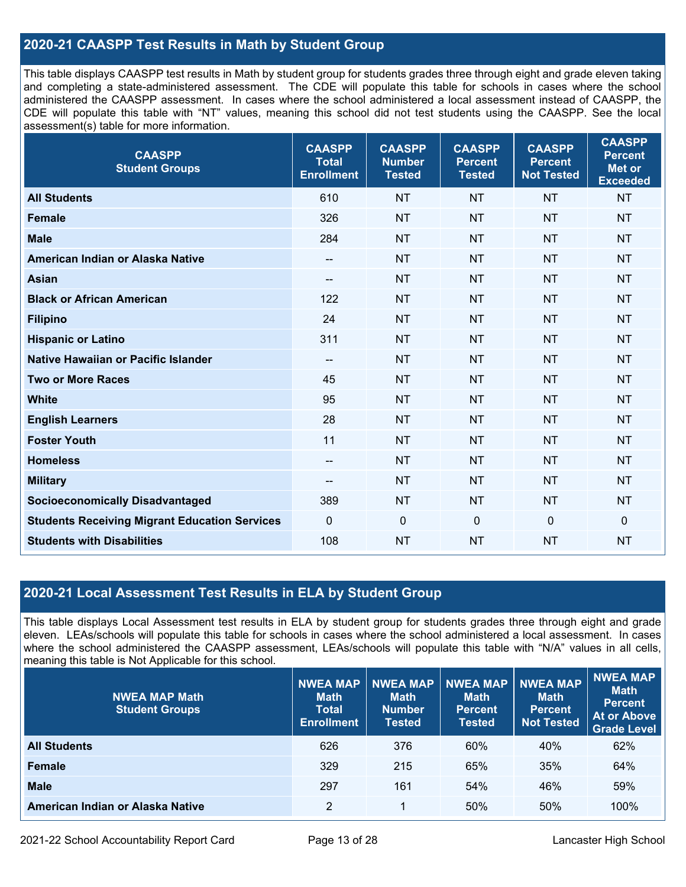### **2020-21 CAASPP Test Results in Math by Student Group**

This table displays CAASPP test results in Math by student group for students grades three through eight and grade eleven taking and completing a state-administered assessment. The CDE will populate this table for schools in cases where the school administered the CAASPP assessment. In cases where the school administered a local assessment instead of CAASPP, the CDE will populate this table with "NT" values, meaning this school did not test students using the CAASPP. See the local assessment(s) table for more information.

| <b>CAASPP</b><br><b>Student Groups</b>               | <b>CAASPP</b><br><b>Total</b><br><b>Enrollment</b> | <b>CAASPP</b><br><b>Number</b><br><b>Tested</b> | <b>CAASPP</b><br><b>Percent</b><br><b>Tested</b> | <b>CAASPP</b><br><b>Percent</b><br><b>Not Tested</b> | <b>CAASPP</b><br><b>Percent</b><br><b>Met or</b><br><b>Exceeded</b> |
|------------------------------------------------------|----------------------------------------------------|-------------------------------------------------|--------------------------------------------------|------------------------------------------------------|---------------------------------------------------------------------|
| <b>All Students</b>                                  | 610                                                | <b>NT</b>                                       | <b>NT</b>                                        | <b>NT</b>                                            | <b>NT</b>                                                           |
| <b>Female</b>                                        | 326                                                | <b>NT</b>                                       | <b>NT</b>                                        | <b>NT</b>                                            | <b>NT</b>                                                           |
| <b>Male</b>                                          | 284                                                | <b>NT</b>                                       | <b>NT</b>                                        | <b>NT</b>                                            | <b>NT</b>                                                           |
| American Indian or Alaska Native                     | $\qquad \qquad -$                                  | <b>NT</b>                                       | <b>NT</b>                                        | <b>NT</b>                                            | <b>NT</b>                                                           |
| <b>Asian</b>                                         | --                                                 | <b>NT</b>                                       | <b>NT</b>                                        | <b>NT</b>                                            | <b>NT</b>                                                           |
| <b>Black or African American</b>                     | 122                                                | <b>NT</b>                                       | <b>NT</b>                                        | <b>NT</b>                                            | <b>NT</b>                                                           |
| <b>Filipino</b>                                      | 24                                                 | <b>NT</b>                                       | <b>NT</b>                                        | <b>NT</b>                                            | <b>NT</b>                                                           |
| <b>Hispanic or Latino</b>                            | 311                                                | <b>NT</b>                                       | <b>NT</b>                                        | <b>NT</b>                                            | <b>NT</b>                                                           |
| Native Hawaiian or Pacific Islander                  | --                                                 | <b>NT</b>                                       | <b>NT</b>                                        | <b>NT</b>                                            | <b>NT</b>                                                           |
| <b>Two or More Races</b>                             | 45                                                 | <b>NT</b>                                       | <b>NT</b>                                        | <b>NT</b>                                            | <b>NT</b>                                                           |
| <b>White</b>                                         | 95                                                 | <b>NT</b>                                       | <b>NT</b>                                        | <b>NT</b>                                            | <b>NT</b>                                                           |
| <b>English Learners</b>                              | 28                                                 | <b>NT</b>                                       | <b>NT</b>                                        | <b>NT</b>                                            | <b>NT</b>                                                           |
| <b>Foster Youth</b>                                  | 11                                                 | <b>NT</b>                                       | <b>NT</b>                                        | <b>NT</b>                                            | <b>NT</b>                                                           |
| <b>Homeless</b>                                      | $\qquad \qquad -$                                  | <b>NT</b>                                       | <b>NT</b>                                        | <b>NT</b>                                            | <b>NT</b>                                                           |
| <b>Military</b>                                      | --                                                 | <b>NT</b>                                       | <b>NT</b>                                        | <b>NT</b>                                            | <b>NT</b>                                                           |
| <b>Socioeconomically Disadvantaged</b>               | 389                                                | <b>NT</b>                                       | <b>NT</b>                                        | <b>NT</b>                                            | <b>NT</b>                                                           |
| <b>Students Receiving Migrant Education Services</b> | $\mathbf 0$                                        | $\mathbf 0$                                     | $\mathbf 0$                                      | $\mathbf 0$                                          | $\mathbf 0$                                                         |
| <b>Students with Disabilities</b>                    | 108                                                | <b>NT</b>                                       | <b>NT</b>                                        | <b>NT</b>                                            | <b>NT</b>                                                           |

### **2020-21 Local Assessment Test Results in ELA by Student Group**

This table displays Local Assessment test results in ELA by student group for students grades three through eight and grade eleven. LEAs/schools will populate this table for schools in cases where the school administered a local assessment. In cases where the school administered the CAASPP assessment, LEAs/schools will populate this table with "N/A" values in all cells, meaning this table is Not Applicable for this school.

| <b>NWEA MAP Math</b><br><b>Student Groups</b> | <b>NWEA MAP</b><br><b>Math</b><br><b>Total</b><br><b>Enrollment</b> | <b>NWEA MAP</b><br><b>Math</b><br><b>Number</b><br><b>Tested</b> | <b>NWEA MAP</b><br><b>Math</b><br><b>Percent</b><br><b>Tested</b> | <b>NWEA MAP</b><br><b>Math</b><br><b>Percent</b><br><b>Not Tested</b> | <b>NWEA MAP</b><br><b>Math</b><br><b>Percent</b><br><b>At or Above</b><br><b>Grade Level</b> |
|-----------------------------------------------|---------------------------------------------------------------------|------------------------------------------------------------------|-------------------------------------------------------------------|-----------------------------------------------------------------------|----------------------------------------------------------------------------------------------|
| <b>All Students</b>                           | 626                                                                 | 376                                                              | 60%                                                               | 40%                                                                   | 62%                                                                                          |
| <b>Female</b>                                 | 329                                                                 | 215                                                              | 65%                                                               | 35%                                                                   | 64%                                                                                          |
| <b>Male</b>                                   | 297                                                                 | 161                                                              | 54%                                                               | 46%                                                                   | 59%                                                                                          |
| American Indian or Alaska Native              | 2                                                                   | 1                                                                | 50%                                                               | 50%                                                                   | 100%                                                                                         |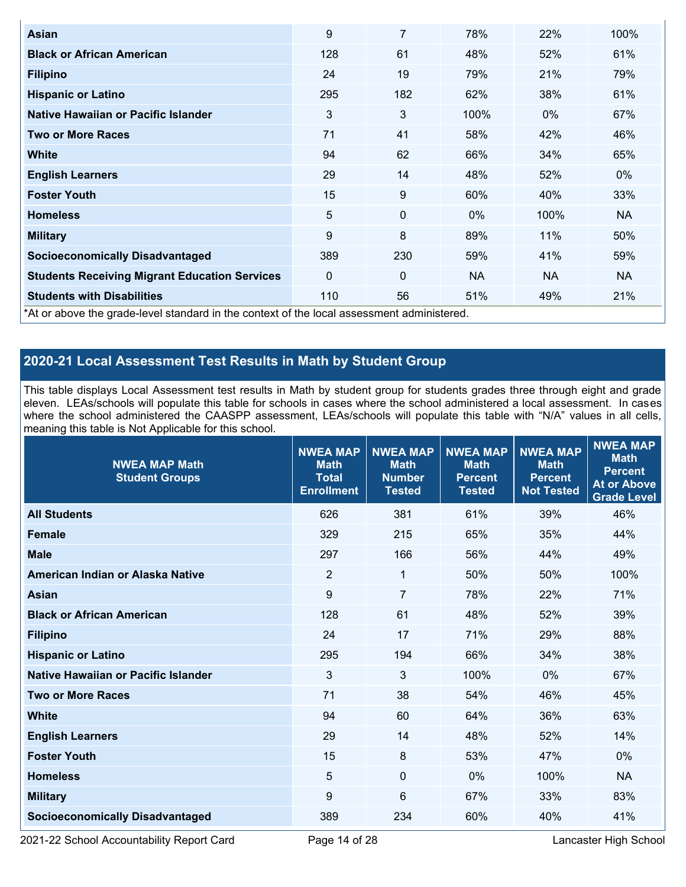| Asian                                                                                      | 9        | 7   | 78%       | 22%       | 100%      |
|--------------------------------------------------------------------------------------------|----------|-----|-----------|-----------|-----------|
| <b>Black or African American</b>                                                           | 128      | 61  | 48%       | 52%       | 61%       |
| <b>Filipino</b>                                                                            | 24       | 19  | 79%       | 21%       | 79%       |
| <b>Hispanic or Latino</b>                                                                  | 295      | 182 | 62%       | 38%       | 61%       |
| Native Hawaiian or Pacific Islander                                                        | 3        | 3   | 100%      | $0\%$     | 67%       |
| <b>Two or More Races</b>                                                                   | 71       | 41  | 58%       | 42%       | 46%       |
| <b>White</b>                                                                               | 94       | 62  | 66%       | 34%       | 65%       |
| <b>English Learners</b>                                                                    | 29       | 14  | 48%       | 52%       | $0\%$     |
| <b>Foster Youth</b>                                                                        | 15       | 9   | 60%       | 40%       | 33%       |
| <b>Homeless</b>                                                                            | 5        | 0   | $0\%$     | 100%      | <b>NA</b> |
| <b>Military</b>                                                                            | 9        | 8   | 89%       | 11%       | 50%       |
| <b>Socioeconomically Disadvantaged</b>                                                     | 389      | 230 | 59%       | 41%       | 59%       |
| <b>Students Receiving Migrant Education Services</b>                                       | $\Omega$ | 0   | <b>NA</b> | <b>NA</b> | <b>NA</b> |
| <b>Students with Disabilities</b>                                                          | 110      | 56  | 51%       | 49%       | 21%       |
| *At or above the grade-level standard in the context of the local assessment administered. |          |     |           |           |           |

### **2020-21 Local Assessment Test Results in Math by Student Group**

This table displays Local Assessment test results in Math by student group for students grades three through eight and grade eleven. LEAs/schools will populate this table for schools in cases where the school administered a local assessment. In cases where the school administered the CAASPP assessment, LEAs/schools will populate this table with "N/A" values in all cells, meaning this table is Not Applicable for this school.

| <b>NWEA MAP Math</b><br><b>Student Groups</b> | <b>NWEA MAP</b><br><b>Math</b><br><b>Total</b><br><b>Enrollment</b> | <b>NWEA MAP</b><br><b>Math</b><br><b>Number</b><br><b>Tested</b> | <b>NWEA MAP</b><br><b>Math</b><br><b>Percent</b><br><b>Tested</b> | <b>NWEA MAP</b><br><b>Math</b><br><b>Percent</b><br><b>Not Tested</b> | <b>NWEA MAP</b><br><b>Math</b><br><b>Percent</b><br><b>At or Above</b><br><b>Grade Level</b> |
|-----------------------------------------------|---------------------------------------------------------------------|------------------------------------------------------------------|-------------------------------------------------------------------|-----------------------------------------------------------------------|----------------------------------------------------------------------------------------------|
| <b>All Students</b>                           | 626                                                                 | 381                                                              | 61%                                                               | 39%                                                                   | 46%                                                                                          |
| <b>Female</b>                                 | 329                                                                 | 215                                                              | 65%                                                               | 35%                                                                   | 44%                                                                                          |
| <b>Male</b>                                   | 297                                                                 | 166                                                              | 56%                                                               | 44%                                                                   | 49%                                                                                          |
| American Indian or Alaska Native              | $\overline{2}$                                                      | $\mathbf{1}$                                                     | 50%                                                               | 50%                                                                   | 100%                                                                                         |
| <b>Asian</b>                                  | 9                                                                   | $\overline{7}$                                                   | 78%                                                               | 22%                                                                   | 71%                                                                                          |
| <b>Black or African American</b>              | 128                                                                 | 61                                                               | 48%                                                               | 52%                                                                   | 39%                                                                                          |
| <b>Filipino</b>                               | 24                                                                  | 17                                                               | 71%                                                               | 29%                                                                   | 88%                                                                                          |
| <b>Hispanic or Latino</b>                     | 295                                                                 | 194                                                              | 66%                                                               | 34%                                                                   | 38%                                                                                          |
| Native Hawaiian or Pacific Islander           | 3                                                                   | 3                                                                | 100%                                                              | 0%                                                                    | 67%                                                                                          |
| <b>Two or More Races</b>                      | 71                                                                  | 38                                                               | 54%                                                               | 46%                                                                   | 45%                                                                                          |
| <b>White</b>                                  | 94                                                                  | 60                                                               | 64%                                                               | 36%                                                                   | 63%                                                                                          |
| <b>English Learners</b>                       | 29                                                                  | 14                                                               | 48%                                                               | 52%                                                                   | 14%                                                                                          |
| <b>Foster Youth</b>                           | 15                                                                  | 8                                                                | 53%                                                               | 47%                                                                   | $0\%$                                                                                        |
| <b>Homeless</b>                               | 5                                                                   | $\mathbf 0$                                                      | 0%                                                                | 100%                                                                  | <b>NA</b>                                                                                    |
| <b>Military</b>                               | 9                                                                   | 6                                                                | 67%                                                               | 33%                                                                   | 83%                                                                                          |
| <b>Socioeconomically Disadvantaged</b>        | 389                                                                 | 234                                                              | 60%                                                               | 40%                                                                   | 41%                                                                                          |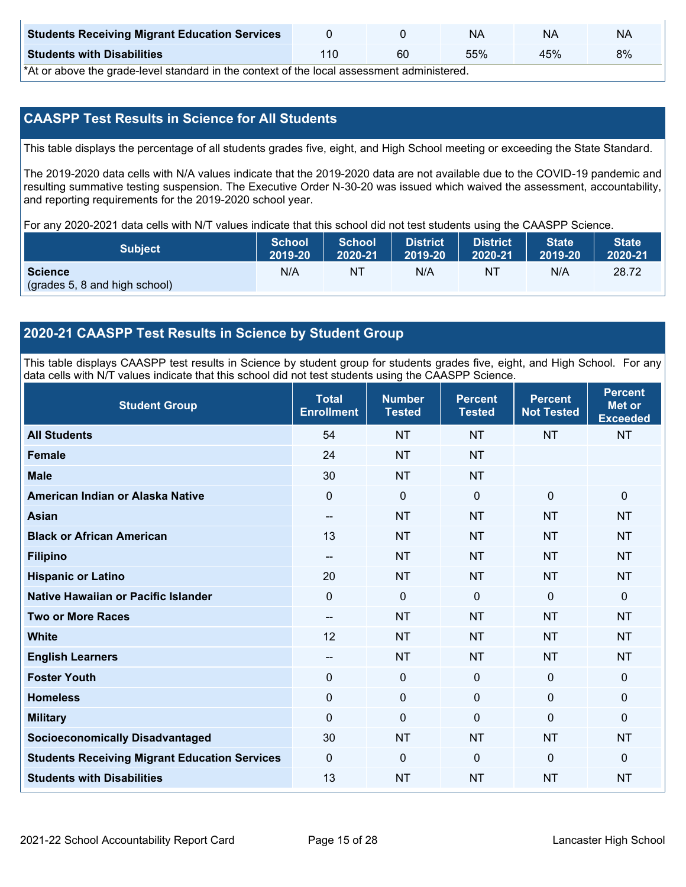| <b>Students Receiving Migrant Education Services</b> |    | <b>NA</b> | NΑ  | N۵ |
|------------------------------------------------------|----|-----------|-----|----|
| <b>Students with Disabilities</b>                    | 60 | 55%       | 45% | 8% |

\*At or above the grade-level standard in the context of the local assessment administered.

### **CAASPP Test Results in Science for All Students**

This table displays the percentage of all students grades five, eight, and High School meeting or exceeding the State Standard.

The 2019-2020 data cells with N/A values indicate that the 2019-2020 data are not available due to the COVID-19 pandemic and resulting summative testing suspension. The Executive Order N-30-20 was issued which waived the assessment, accountability, and reporting requirements for the 2019-2020 school year.

For any 2020-2021 data cells with N/T values indicate that this school did not test students using the CAASPP Science.

| <b>Subject</b>                                  | <b>School</b> | <b>School</b> | <b>District</b> | <b>District</b> | <b>State</b> | <b>State</b> |
|-------------------------------------------------|---------------|---------------|-----------------|-----------------|--------------|--------------|
|                                                 | 2019-20       | 2020-21       | 12019-20        | 2020-21         | 2019-20      | 2020-21      |
| <b>Science</b><br>(grades 5, 8 and high school) | N/A           | NT            | N/A             | NI              | N/A          | 28.72        |

### **2020-21 CAASPP Test Results in Science by Student Group**

This table displays CAASPP test results in Science by student group for students grades five, eight, and High School. For any data cells with N/T values indicate that this school did not test students using the CAASPP Science.

| <b>Student Group</b>                                 | <b>Total</b><br><b>Enrollment</b> | <b>Number</b><br><b>Tested</b> | <b>Percent</b><br><b>Tested</b> | <b>Percent</b><br><b>Not Tested</b> | <b>Percent</b><br><b>Met or</b><br><b>Exceeded</b> |
|------------------------------------------------------|-----------------------------------|--------------------------------|---------------------------------|-------------------------------------|----------------------------------------------------|
| <b>All Students</b>                                  | 54                                | <b>NT</b>                      | <b>NT</b>                       | <b>NT</b>                           | <b>NT</b>                                          |
| Female                                               | 24                                | <b>NT</b>                      | <b>NT</b>                       |                                     |                                                    |
| <b>Male</b>                                          | 30                                | <b>NT</b>                      | <b>NT</b>                       |                                     |                                                    |
| American Indian or Alaska Native                     | 0                                 | $\mathbf 0$                    | $\mathbf 0$                     | $\mathbf 0$                         | $\mathbf 0$                                        |
| <b>Asian</b>                                         | --                                | <b>NT</b>                      | <b>NT</b>                       | <b>NT</b>                           | <b>NT</b>                                          |
| <b>Black or African American</b>                     | 13                                | <b>NT</b>                      | <b>NT</b>                       | <b>NT</b>                           | <b>NT</b>                                          |
| <b>Filipino</b>                                      | $\overline{\phantom{a}}$          | <b>NT</b>                      | <b>NT</b>                       | <b>NT</b>                           | <b>NT</b>                                          |
| <b>Hispanic or Latino</b>                            | 20                                | <b>NT</b>                      | <b>NT</b>                       | <b>NT</b>                           | <b>NT</b>                                          |
| Native Hawaiian or Pacific Islander                  | 0                                 | 0                              | $\mathbf{0}$                    | $\overline{0}$                      | $\mathbf 0$                                        |
| <b>Two or More Races</b>                             | --                                | <b>NT</b>                      | <b>NT</b>                       | <b>NT</b>                           | <b>NT</b>                                          |
| <b>White</b>                                         | 12                                | <b>NT</b>                      | <b>NT</b>                       | <b>NT</b>                           | <b>NT</b>                                          |
| <b>English Learners</b>                              | --                                | <b>NT</b>                      | <b>NT</b>                       | <b>NT</b>                           | <b>NT</b>                                          |
| <b>Foster Youth</b>                                  | 0                                 | $\mathbf 0$                    | $\mathbf 0$                     | $\mathbf 0$                         | $\mathbf 0$                                        |
| <b>Homeless</b>                                      | 0                                 | $\mathbf 0$                    | $\mathbf 0$                     | 0                                   | $\mathbf 0$                                        |
| <b>Military</b>                                      | 0                                 | $\mathbf 0$                    | $\mathbf{0}$                    | $\mathbf 0$                         | $\mathbf 0$                                        |
| <b>Socioeconomically Disadvantaged</b>               | 30                                | <b>NT</b>                      | <b>NT</b>                       | <b>NT</b>                           | <b>NT</b>                                          |
| <b>Students Receiving Migrant Education Services</b> | 0                                 | $\mathbf 0$                    | $\mathbf{0}$                    | $\overline{0}$                      | $\mathbf 0$                                        |
| <b>Students with Disabilities</b>                    | 13                                | <b>NT</b>                      | <b>NT</b>                       | <b>NT</b>                           | <b>NT</b>                                          |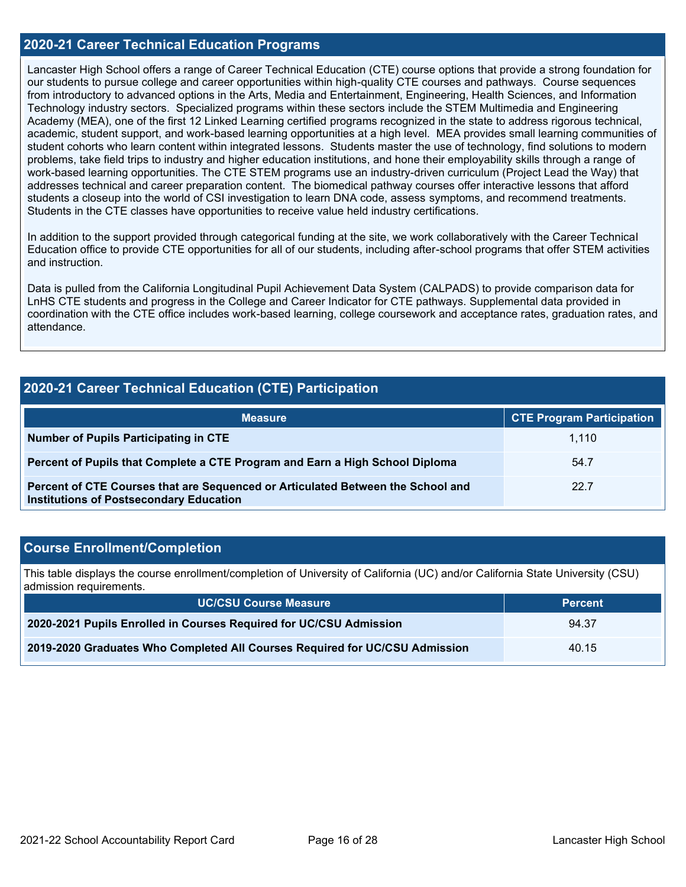### **2020-21 Career Technical Education Programs**

Lancaster High School offers a range of Career Technical Education (CTE) course options that provide a strong foundation for our students to pursue college and career opportunities within high-quality CTE courses and pathways. Course sequences from introductory to advanced options in the Arts, Media and Entertainment, Engineering, Health Sciences, and Information Technology industry sectors. Specialized programs within these sectors include the STEM Multimedia and Engineering Academy (MEA), one of the first 12 Linked Learning certified programs recognized in the state to address rigorous technical, academic, student support, and work-based learning opportunities at a high level. MEA provides small learning communities of student cohorts who learn content within integrated lessons. Students master the use of technology, find solutions to modern problems, take field trips to industry and higher education institutions, and hone their employability skills through a range of work-based learning opportunities. The CTE STEM programs use an industry-driven curriculum (Project Lead the Way) that addresses technical and career preparation content. The biomedical pathway courses offer interactive lessons that afford students a closeup into the world of CSI investigation to learn DNA code, assess symptoms, and recommend treatments. Students in the CTE classes have opportunities to receive value held industry certifications.

In addition to the support provided through categorical funding at the site, we work collaboratively with the Career Technical Education office to provide CTE opportunities for all of our students, including after-school programs that offer STEM activities and instruction.

Data is pulled from the California Longitudinal Pupil Achievement Data System (CALPADS) to provide comparison data for LnHS CTE students and progress in the College and Career Indicator for CTE pathways. Supplemental data provided in coordination with the CTE office includes work-based learning, college coursework and acceptance rates, graduation rates, and attendance.

### **2020-21 Career Technical Education (CTE) Participation**

| <b>Measure</b>                                                                                                                    | <b>CTE Program Participation</b> |
|-----------------------------------------------------------------------------------------------------------------------------------|----------------------------------|
| Number of Pupils Participating in CTE                                                                                             | 1.110                            |
| Percent of Pupils that Complete a CTE Program and Earn a High School Diploma                                                      | 54.7                             |
| Percent of CTE Courses that are Sequenced or Articulated Between the School and<br><b>Institutions of Postsecondary Education</b> | 22.7                             |

### **Course Enrollment/Completion**

This table displays the course enrollment/completion of University of California (UC) and/or California State University (CSU) admission requirements.

| <b>UC/CSU Course Measure</b>                                                | ′ Percent <sub>≀</sub> |
|-----------------------------------------------------------------------------|------------------------|
| 2020-2021 Pupils Enrolled in Courses Required for UC/CSU Admission          | 94.37                  |
| 2019-2020 Graduates Who Completed All Courses Required for UC/CSU Admission | 40.15                  |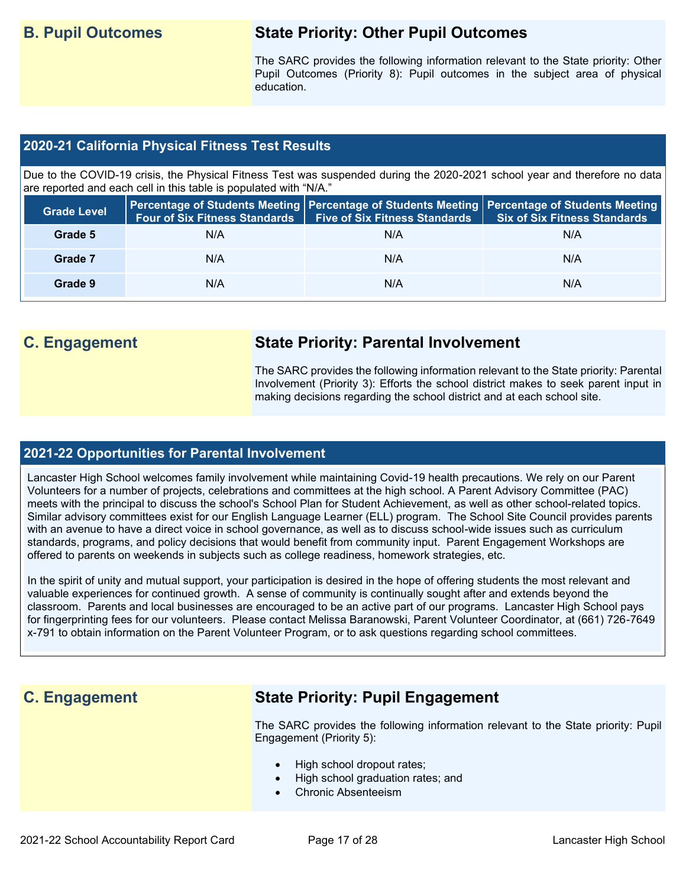## **B. Pupil Outcomes State Priority: Other Pupil Outcomes**

The SARC provides the following information relevant to the State priority: Other Pupil Outcomes (Priority 8): Pupil outcomes in the subject area of physical education.

### **2020-21 California Physical Fitness Test Results**

Due to the COVID-19 crisis, the Physical Fitness Test was suspended during the 2020-2021 school year and therefore no data are reported and each cell in this table is populated with "N/A."

| <b>Grade Level</b> | <b>Four of Six Fitness Standards</b> | <b>Five of Six Fitness Standards</b> | Percentage of Students Meeting   Percentage of Students Meeting   Percentage of Students Meeting  <br><b>Six of Six Fitness Standards</b> |
|--------------------|--------------------------------------|--------------------------------------|-------------------------------------------------------------------------------------------------------------------------------------------|
| Grade 5            | N/A                                  | N/A                                  | N/A                                                                                                                                       |
| Grade 7            | N/A                                  | N/A                                  | N/A                                                                                                                                       |
| Grade 9            | N/A                                  | N/A                                  | N/A                                                                                                                                       |

## **C. Engagement State Priority: Parental Involvement**

The SARC provides the following information relevant to the State priority: Parental Involvement (Priority 3): Efforts the school district makes to seek parent input in making decisions regarding the school district and at each school site.

### **2021-22 Opportunities for Parental Involvement**

Lancaster High School welcomes family involvement while maintaining Covid-19 health precautions. We rely on our Parent Volunteers for a number of projects, celebrations and committees at the high school. A Parent Advisory Committee (PAC) meets with the principal to discuss the school's School Plan for Student Achievement, as well as other school-related topics. Similar advisory committees exist for our English Language Learner (ELL) program. The School Site Council provides parents with an avenue to have a direct voice in school governance, as well as to discuss school-wide issues such as curriculum standards, programs, and policy decisions that would benefit from community input. Parent Engagement Workshops are offered to parents on weekends in subjects such as college readiness, homework strategies, etc.

In the spirit of unity and mutual support, your participation is desired in the hope of offering students the most relevant and valuable experiences for continued growth. A sense of community is continually sought after and extends beyond the classroom. Parents and local businesses are encouraged to be an active part of our programs. Lancaster High School pays for fingerprinting fees for our volunteers. Please contact Melissa Baranowski, Parent Volunteer Coordinator, at (661) 726-7649 x-791 to obtain information on the Parent Volunteer Program, or to ask questions regarding school committees.

## **C. Engagement State Priority: Pupil Engagement**

The SARC provides the following information relevant to the State priority: Pupil Engagement (Priority 5):

- High school dropout rates;
- High school graduation rates; and
- Chronic Absenteeism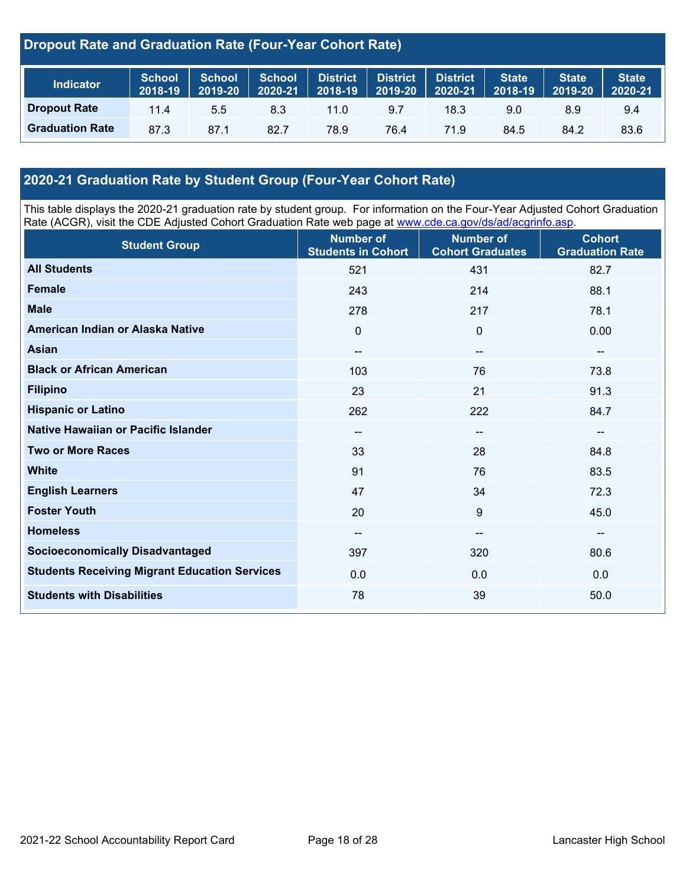### **Dropout Rate and Graduation Rate (Four-Year Cohort Rate)**

| <b>Indicator</b>       | <b>School</b><br>2018-19 | <b>School</b><br>2019-20 | <b>School</b><br>2020-21 | District<br>$2018 - 19$ | District<br>$2019 - 20$ | <b>District</b><br>2020-21 | <b>State</b><br>2018-19 | <b>State</b><br>2019-20 | <b>State</b><br>$12020-21$ |
|------------------------|--------------------------|--------------------------|--------------------------|-------------------------|-------------------------|----------------------------|-------------------------|-------------------------|----------------------------|
| <b>Dropout Rate</b>    | 11.4                     | 5.5                      | 8.3                      | $11.0^\circ$            | 9.7                     | 18.3                       | 9.0                     | 8.9                     | 9.4                        |
| <b>Graduation Rate</b> | 87.3                     | 87.1                     | 82.7                     | 78.9                    | 76.4                    | 71.9                       | 84.5                    | 84.2                    | 83.6                       |

### **2020-21 Graduation Rate by Student Group (Four-Year Cohort Rate)**

This table displays the 2020-21 graduation rate by student group. For information on the Four-Year Adjusted Cohort Graduation Rate (ACGR), visit the CDE Adjusted Cohort Graduation Rate web page at [www.cde.ca.gov/ds/ad/acgrinfo.asp.](http://www.cde.ca.gov/ds/ad/acgrinfo.asp)

| <b>Student Group</b>                                 | <b>Number of</b><br><b>Students in Cohort</b> | <b>Number of</b><br><b>Cohort Graduates</b> | <b>Cohort</b><br><b>Graduation Rate</b> |
|------------------------------------------------------|-----------------------------------------------|---------------------------------------------|-----------------------------------------|
| <b>All Students</b>                                  | 521                                           | 431                                         | 82.7                                    |
| <b>Female</b>                                        | 243                                           | 214                                         | 88.1                                    |
| <b>Male</b>                                          | 278                                           | 217                                         | 78.1                                    |
| American Indian or Alaska Native                     | 0                                             | $\mathbf 0$                                 | 0.00                                    |
| <b>Asian</b>                                         | $\overline{\phantom{a}}$                      | $\overline{\phantom{a}}$                    | $- -$                                   |
| <b>Black or African American</b>                     | 103                                           | 76                                          | 73.8                                    |
| <b>Filipino</b>                                      | 23                                            | 21                                          | 91.3                                    |
| <b>Hispanic or Latino</b>                            | 262                                           | 222                                         | 84.7                                    |
| Native Hawaiian or Pacific Islander                  | $\overline{\phantom{m}}$                      | $\overline{\phantom{a}}$                    | --                                      |
| <b>Two or More Races</b>                             | 33                                            | 28                                          | 84.8                                    |
| <b>White</b>                                         | 91                                            | 76                                          | 83.5                                    |
| <b>English Learners</b>                              | 47                                            | 34                                          | 72.3                                    |
| <b>Foster Youth</b>                                  | 20                                            | $9\,$                                       | 45.0                                    |
| <b>Homeless</b>                                      | --                                            | --                                          | --                                      |
| <b>Socioeconomically Disadvantaged</b>               | 397                                           | 320                                         | 80.6                                    |
| <b>Students Receiving Migrant Education Services</b> | 0.0                                           | 0.0                                         | 0.0                                     |
| <b>Students with Disabilities</b>                    | 78                                            | 39                                          | 50.0                                    |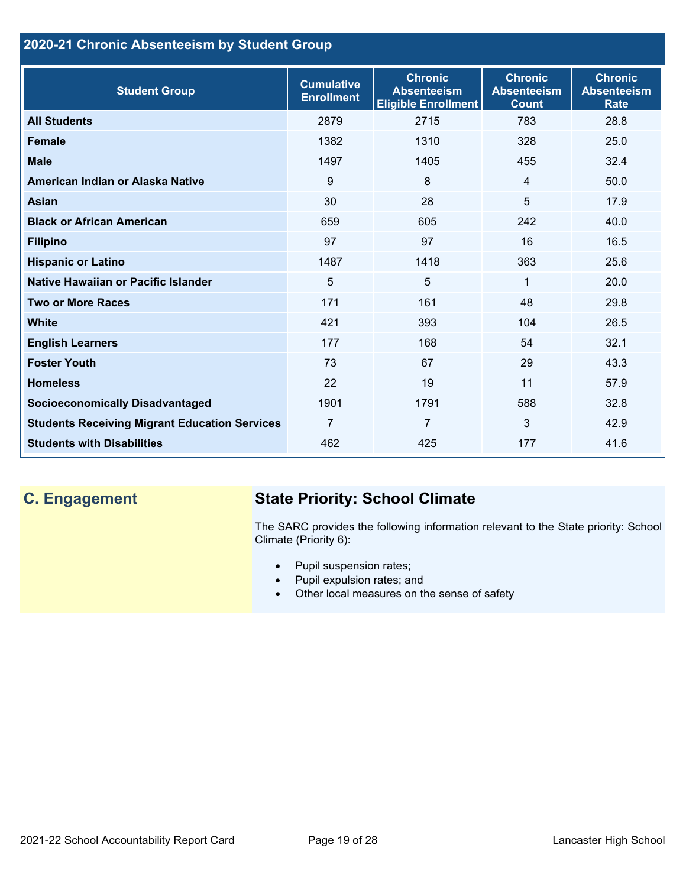### **2020-21 Chronic Absenteeism by Student Group**

| <b>Student Group</b>                                 | <b>Cumulative</b><br><b>Enrollment</b> | <b>Chronic</b><br><b>Absenteeism</b><br><b>Eligible Enrollment</b> | <b>Chronic</b><br><b>Absenteeism</b><br><b>Count</b> | <b>Chronic</b><br><b>Absenteeism</b><br><b>Rate</b> |
|------------------------------------------------------|----------------------------------------|--------------------------------------------------------------------|------------------------------------------------------|-----------------------------------------------------|
| <b>All Students</b>                                  | 2879                                   | 2715                                                               | 783                                                  | 28.8                                                |
| <b>Female</b>                                        | 1382                                   | 1310                                                               | 328                                                  | 25.0                                                |
| <b>Male</b>                                          | 1497                                   | 1405                                                               | 455                                                  | 32.4                                                |
| American Indian or Alaska Native                     | 9                                      | 8                                                                  | $\overline{4}$                                       | 50.0                                                |
| Asian                                                | 30                                     | 28                                                                 | 5                                                    | 17.9                                                |
| <b>Black or African American</b>                     | 659                                    | 605                                                                | 242                                                  | 40.0                                                |
| <b>Filipino</b>                                      | 97                                     | 97                                                                 | 16                                                   | 16.5                                                |
| <b>Hispanic or Latino</b>                            | 1487                                   | 1418                                                               | 363                                                  | 25.6                                                |
| Native Hawaiian or Pacific Islander                  | 5                                      | 5                                                                  | 1                                                    | 20.0                                                |
| <b>Two or More Races</b>                             | 171                                    | 161                                                                | 48                                                   | 29.8                                                |
| <b>White</b>                                         | 421                                    | 393                                                                | 104                                                  | 26.5                                                |
| <b>English Learners</b>                              | 177                                    | 168                                                                | 54                                                   | 32.1                                                |
| <b>Foster Youth</b>                                  | 73                                     | 67                                                                 | 29                                                   | 43.3                                                |
| <b>Homeless</b>                                      | 22                                     | 19                                                                 | 11                                                   | 57.9                                                |
| <b>Socioeconomically Disadvantaged</b>               | 1901                                   | 1791                                                               | 588                                                  | 32.8                                                |
| <b>Students Receiving Migrant Education Services</b> | $\overline{7}$                         | $\overline{7}$                                                     | $\mathbf{3}$                                         | 42.9                                                |
| <b>Students with Disabilities</b>                    | 462                                    | 425                                                                | 177                                                  | 41.6                                                |

# **C. Engagement State Priority: School Climate**

The SARC provides the following information relevant to the State priority: School Climate (Priority 6):

- Pupil suspension rates;
- Pupil expulsion rates; and
- Other local measures on the sense of safety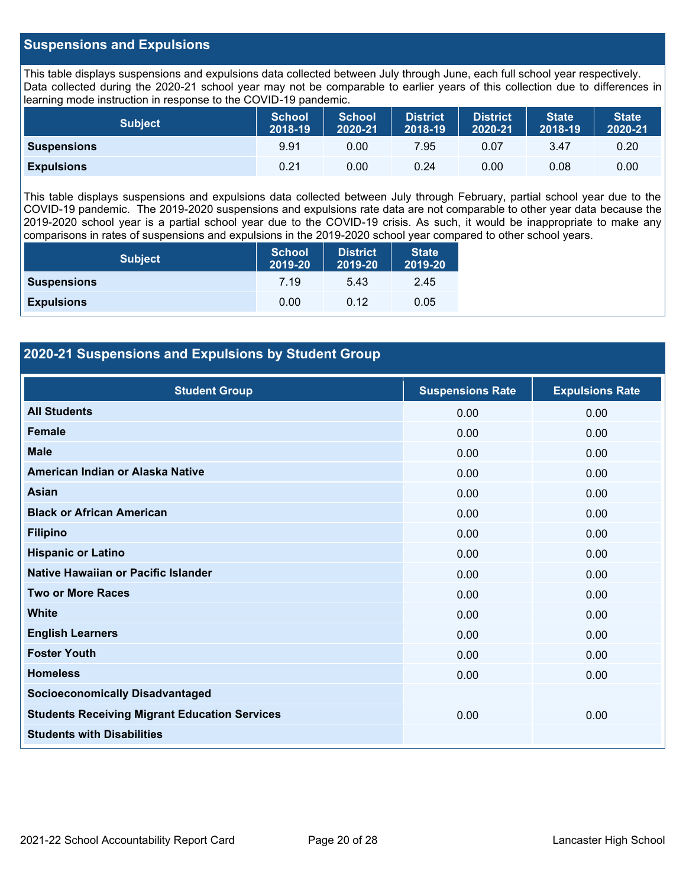### **Suspensions and Expulsions**

This table displays suspensions and expulsions data collected between July through June, each full school year respectively. Data collected during the 2020-21 school year may not be comparable to earlier years of this collection due to differences in learning mode instruction in response to the COVID-19 pandemic.

| <b>Subject</b>     | <b>School</b><br>2018-19 | <b>School</b><br>2020-21 | <b>District</b><br>2018-19 | <b>District</b><br>2020-21 | <b>State</b><br>2018-19 | <b>State</b><br>2020-21 |
|--------------------|--------------------------|--------------------------|----------------------------|----------------------------|-------------------------|-------------------------|
| <b>Suspensions</b> | 9.91                     | 0.00                     | 7.95                       | 0.07                       | 3.47                    | 0.20                    |
| <b>Expulsions</b>  | 0.21                     | 0.00                     | 0.24                       | 0.00                       | 0.08                    | 0.00                    |

This table displays suspensions and expulsions data collected between July through February, partial school year due to the COVID-19 pandemic. The 2019-2020 suspensions and expulsions rate data are not comparable to other year data because the 2019-2020 school year is a partial school year due to the COVID-19 crisis. As such, it would be inappropriate to make any comparisons in rates of suspensions and expulsions in the 2019-2020 school year compared to other school years.

| <b>Subject</b>     | <b>School</b><br>2019-20 | <b>District</b><br>2019-20 | <b>State</b><br>2019-20 |
|--------------------|--------------------------|----------------------------|-------------------------|
| <b>Suspensions</b> | 7 19                     | 5.43                       | 2.45                    |
| <b>Expulsions</b>  | 0.00                     | 0.12                       | 0.05                    |

### **2020-21 Suspensions and Expulsions by Student Group**

| <b>Student Group</b>                                 | <b>Suspensions Rate</b> | <b>Expulsions Rate</b> |
|------------------------------------------------------|-------------------------|------------------------|
| <b>All Students</b>                                  | 0.00                    | 0.00                   |
| Female                                               | 0.00                    | 0.00                   |
| <b>Male</b>                                          | 0.00                    | 0.00                   |
| American Indian or Alaska Native                     | 0.00                    | 0.00                   |
| Asian                                                | 0.00                    | 0.00                   |
| <b>Black or African American</b>                     | 0.00                    | 0.00                   |
| <b>Filipino</b>                                      | 0.00                    | 0.00                   |
| <b>Hispanic or Latino</b>                            | 0.00                    | 0.00                   |
| Native Hawaiian or Pacific Islander                  | 0.00                    | 0.00                   |
| <b>Two or More Races</b>                             | 0.00                    | 0.00                   |
| <b>White</b>                                         | 0.00                    | 0.00                   |
| <b>English Learners</b>                              | 0.00                    | 0.00                   |
| <b>Foster Youth</b>                                  | 0.00                    | 0.00                   |
| <b>Homeless</b>                                      | 0.00                    | 0.00                   |
| <b>Socioeconomically Disadvantaged</b>               |                         |                        |
| <b>Students Receiving Migrant Education Services</b> | 0.00                    | 0.00                   |
| <b>Students with Disabilities</b>                    |                         |                        |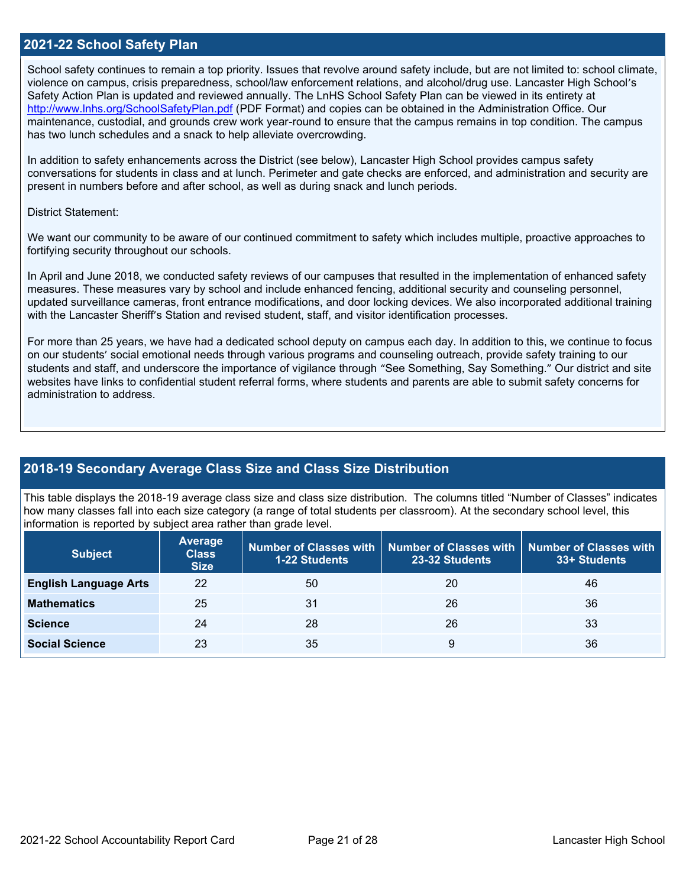### **2021-22 School Safety Plan**

School safety continues to remain a top priority. Issues that revolve around safety include, but are not limited to: school climate, violence on campus, crisis preparedness, school/law enforcement relations, and alcohol/drug use. Lancaster High School's Safety Action Plan is updated and reviewed annually. The LnHS School Safety Plan can be viewed in its entirety at <http://www.lnhs.org/SchoolSafetyPlan.pdf> (PDF Format) and copies can be obtained in the Administration Office. Our maintenance, custodial, and grounds crew work year-round to ensure that the campus remains in top condition. The campus has two lunch schedules and a snack to help alleviate overcrowding.

In addition to safety enhancements across the District (see below), Lancaster High School provides campus safety conversations for students in class and at lunch. Perimeter and gate checks are enforced, and administration and security are present in numbers before and after school, as well as during snack and lunch periods.

### District Statement:

We want our community to be aware of our continued commitment to safety which includes multiple, proactive approaches to fortifying security throughout our schools.

In April and June 2018, we conducted safety reviews of our campuses that resulted in the implementation of enhanced safety measures. These measures vary by school and include enhanced fencing, additional security and counseling personnel, updated surveillance cameras, front entrance modifications, and door locking devices. We also incorporated additional training with the Lancaster Sheriff's Station and revised student, staff, and visitor identification processes.

For more than 25 years, we have had a dedicated school deputy on campus each day. In addition to this, we continue to focus on our students' social emotional needs through various programs and counseling outreach, provide safety training to our students and staff, and underscore the importance of vigilance through "See Something, Say Something." Our district and site websites have links to confidential student referral forms, where students and parents are able to submit safety concerns for administration to address.

### **2018-19 Secondary Average Class Size and Class Size Distribution**

This table displays the 2018-19 average class size and class size distribution. The columns titled "Number of Classes" indicates how many classes fall into each size category (a range of total students per classroom). At the secondary school level, this information is reported by subject area rather than grade level.

| <b>Subject</b>               | <b>Average</b><br><b>Class</b><br><b>Size</b> | <b>1-22 Students</b> | Number of Classes with   Number of Classes with<br>23-32 Students | <b>Number of Classes with</b><br>33+ Students |
|------------------------------|-----------------------------------------------|----------------------|-------------------------------------------------------------------|-----------------------------------------------|
| <b>English Language Arts</b> | 22                                            | 50                   | 20                                                                | 46                                            |
| <b>Mathematics</b>           | 25                                            | 31                   | 26                                                                | 36                                            |
| <b>Science</b>               | 24                                            | 28                   | 26                                                                | 33                                            |
| <b>Social Science</b>        | 23                                            | 35                   | 9                                                                 | 36                                            |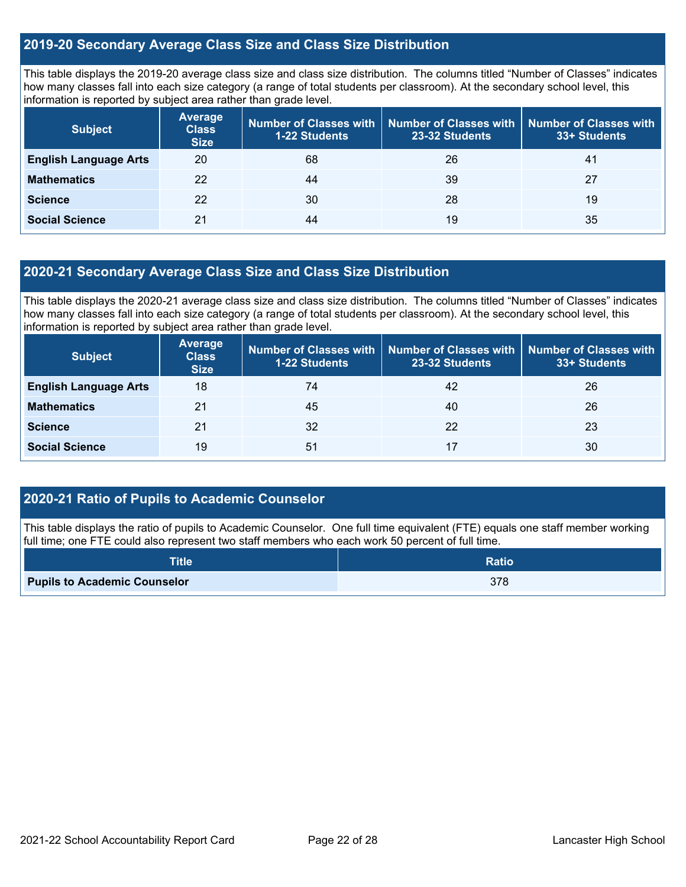### **2019-20 Secondary Average Class Size and Class Size Distribution**

This table displays the 2019-20 average class size and class size distribution. The columns titled "Number of Classes" indicates how many classes fall into each size category (a range of total students per classroom). At the secondary school level, this information is reported by subject area rather than grade level.

| <b>Subject</b>               | <b>Average</b><br><b>Class</b><br><b>Size</b> | Number of Classes with<br><b>1-22 Students</b> | <b>Number of Classes with</b><br>23-32 Students | <b>Number of Classes with</b><br>33+ Students |
|------------------------------|-----------------------------------------------|------------------------------------------------|-------------------------------------------------|-----------------------------------------------|
| <b>English Language Arts</b> | 20                                            | 68                                             | 26                                              | 41                                            |
| <b>Mathematics</b>           | 22                                            | 44                                             | 39                                              | 27                                            |
| <b>Science</b>               | 22                                            | 30                                             | 28                                              | 19                                            |
| <b>Social Science</b>        | 21                                            | 44                                             | 19                                              | 35                                            |

### **2020-21 Secondary Average Class Size and Class Size Distribution**

This table displays the 2020-21 average class size and class size distribution. The columns titled "Number of Classes" indicates how many classes fall into each size category (a range of total students per classroom). At the secondary school level, this information is reported by subject area rather than grade level.

| <b>Subject</b>               | <b>Average</b><br><b>Class</b><br><b>Size</b> | Number of Classes with<br><b>1-22 Students</b> | Number of Classes with   Number of Classes with<br>23-32 Students | 33+ Students |
|------------------------------|-----------------------------------------------|------------------------------------------------|-------------------------------------------------------------------|--------------|
| <b>English Language Arts</b> | 18                                            | 74                                             | 42                                                                | 26           |
| <b>Mathematics</b>           | 21                                            | 45                                             | 40                                                                | 26           |
| <b>Science</b>               | 21                                            | 32                                             | 22                                                                | 23           |
| <b>Social Science</b>        | 19                                            | 51                                             | 17                                                                | 30           |

### **2020-21 Ratio of Pupils to Academic Counselor**

This table displays the ratio of pupils to Academic Counselor. One full time equivalent (FTE) equals one staff member working full time; one FTE could also represent two staff members who each work 50 percent of full time.

| <b>Title</b>                        | <b>Ratio</b> |
|-------------------------------------|--------------|
| <b>Pupils to Academic Counselor</b> | 378          |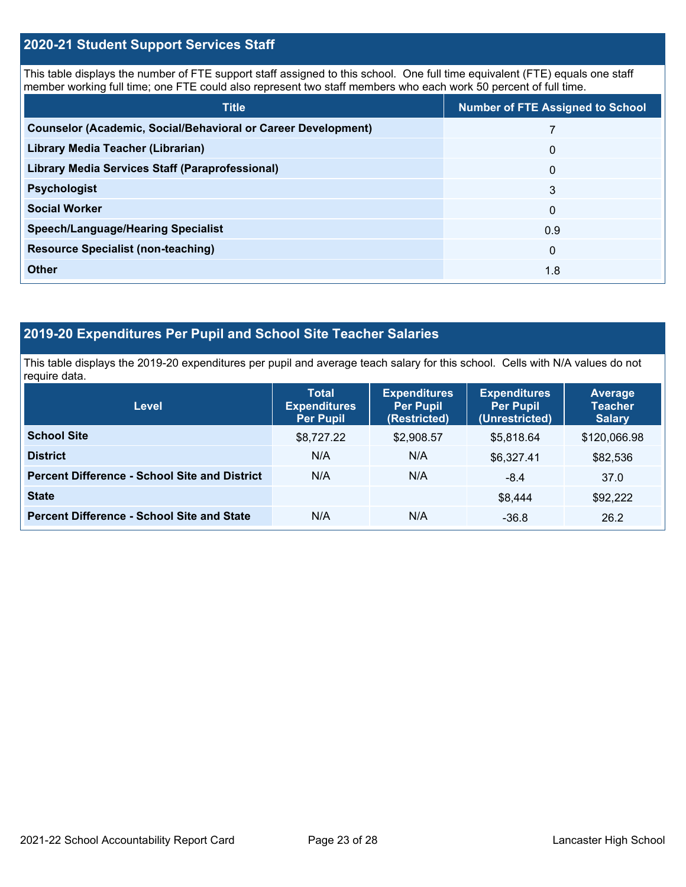### **2020-21 Student Support Services Staff**

This table displays the number of FTE support staff assigned to this school. One full time equivalent (FTE) equals one staff member working full time; one FTE could also represent two staff members who each work 50 percent of full time.

| <b>Title</b>                                                         | <b>Number of FTE Assigned to School</b> |
|----------------------------------------------------------------------|-----------------------------------------|
| <b>Counselor (Academic, Social/Behavioral or Career Development)</b> |                                         |
| Library Media Teacher (Librarian)                                    | $\mathbf{0}$                            |
| <b>Library Media Services Staff (Paraprofessional)</b>               | $\overline{0}$                          |
| <b>Psychologist</b>                                                  | 3                                       |
| <b>Social Worker</b>                                                 | $\mathbf{0}$                            |
| <b>Speech/Language/Hearing Specialist</b>                            | 0.9                                     |
| <b>Resource Specialist (non-teaching)</b>                            | $\Omega$                                |
| <b>Other</b>                                                         | 1.8                                     |

### **2019-20 Expenditures Per Pupil and School Site Teacher Salaries**

This table displays the 2019-20 expenditures per pupil and average teach salary for this school. Cells with N/A values do not require data.

| <b>Level</b>                                         | <b>Total</b><br><b>Expenditures</b><br><b>Per Pupil</b> | <b>Expenditures</b><br><b>Per Pupil</b><br>(Restricted) | <b>Expenditures</b><br><b>Per Pupil</b><br>(Unrestricted) | <b>Average</b><br><b>Teacher</b><br><b>Salary</b> |
|------------------------------------------------------|---------------------------------------------------------|---------------------------------------------------------|-----------------------------------------------------------|---------------------------------------------------|
| <b>School Site</b>                                   | \$8,727.22                                              | \$2,908.57                                              | \$5,818.64                                                | \$120,066.98                                      |
| <b>District</b>                                      | N/A                                                     | N/A                                                     | \$6,327.41                                                | \$82,536                                          |
| <b>Percent Difference - School Site and District</b> | N/A                                                     | N/A                                                     | $-8.4$                                                    | 37.0                                              |
| <b>State</b>                                         |                                                         |                                                         | \$8,444                                                   | \$92,222                                          |
| <b>Percent Difference - School Site and State</b>    | N/A                                                     | N/A                                                     | $-36.8$                                                   | 26.2                                              |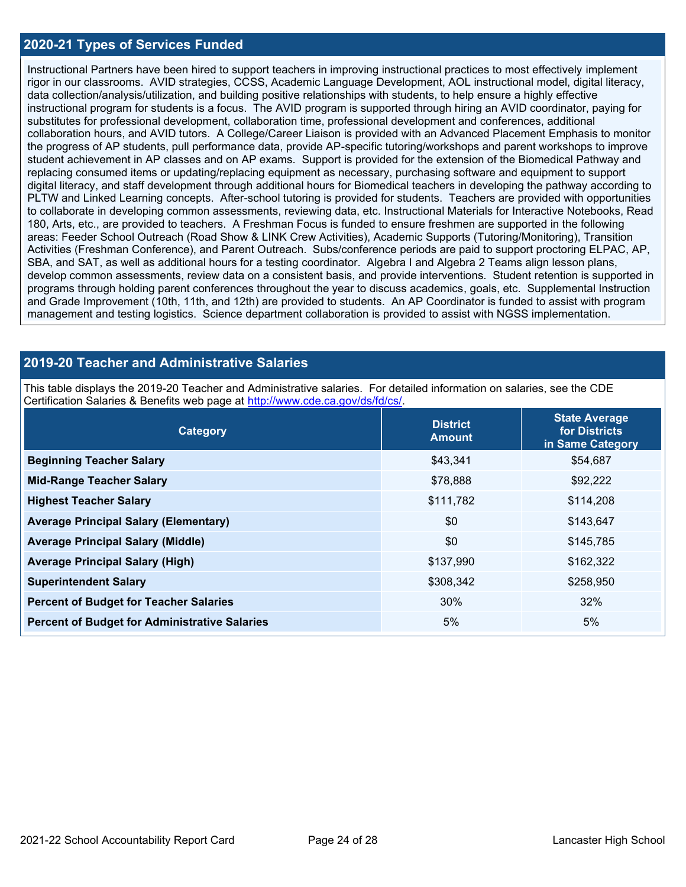### **2020-21 Types of Services Funded**

Instructional Partners have been hired to support teachers in improving instructional practices to most effectively implement rigor in our classrooms. AVID strategies, CCSS, Academic Language Development, AOL instructional model, digital literacy, data collection/analysis/utilization, and building positive relationships with students, to help ensure a highly effective instructional program for students is a focus. The AVID program is supported through hiring an AVID coordinator, paying for substitutes for professional development, collaboration time, professional development and conferences, additional collaboration hours, and AVID tutors. A College/Career Liaison is provided with an Advanced Placement Emphasis to monitor the progress of AP students, pull performance data, provide AP-specific tutoring/workshops and parent workshops to improve student achievement in AP classes and on AP exams. Support is provided for the extension of the Biomedical Pathway and replacing consumed items or updating/replacing equipment as necessary, purchasing software and equipment to support digital literacy, and staff development through additional hours for Biomedical teachers in developing the pathway according to PLTW and Linked Learning concepts. After-school tutoring is provided for students. Teachers are provided with opportunities to collaborate in developing common assessments, reviewing data, etc. Instructional Materials for Interactive Notebooks, Read 180, Arts, etc., are provided to teachers. A Freshman Focus is funded to ensure freshmen are supported in the following areas: Feeder School Outreach (Road Show & LINK Crew Activities), Academic Supports (Tutoring/Monitoring), Transition Activities (Freshman Conference), and Parent Outreach. Subs/conference periods are paid to support proctoring ELPAC, AP, SBA, and SAT, as well as additional hours for a testing coordinator. Algebra I and Algebra 2 Teams align lesson plans, develop common assessments, review data on a consistent basis, and provide interventions. Student retention is supported in programs through holding parent conferences throughout the year to discuss academics, goals, etc. Supplemental Instruction and Grade Improvement (10th, 11th, and 12th) are provided to students. An AP Coordinator is funded to assist with program management and testing logistics. Science department collaboration is provided to assist with NGSS implementation.

### **2019-20 Teacher and Administrative Salaries**

This table displays the 2019-20 Teacher and Administrative salaries. For detailed information on salaries, see the CDE Certification Salaries & Benefits web page at [http://www.cde.ca.gov/ds/fd/cs/.](http://www.cde.ca.gov/ds/fd/cs/)

| Category                                             | <b>District</b><br><b>Amount</b> | <b>State Average</b><br>for Districts<br>in Same Category |  |
|------------------------------------------------------|----------------------------------|-----------------------------------------------------------|--|
| <b>Beginning Teacher Salary</b>                      | \$43,341                         | \$54,687                                                  |  |
| <b>Mid-Range Teacher Salary</b>                      | \$78,888                         | \$92,222                                                  |  |
| <b>Highest Teacher Salary</b>                        | \$111,782                        | \$114,208                                                 |  |
| <b>Average Principal Salary (Elementary)</b>         | \$0                              | \$143,647                                                 |  |
| <b>Average Principal Salary (Middle)</b>             | \$0                              | \$145,785                                                 |  |
| <b>Average Principal Salary (High)</b>               | \$137,990                        | \$162,322                                                 |  |
| <b>Superintendent Salary</b>                         | \$308,342                        | \$258,950                                                 |  |
| <b>Percent of Budget for Teacher Salaries</b>        | 30%                              | 32%                                                       |  |
| <b>Percent of Budget for Administrative Salaries</b> | 5%                               | 5%                                                        |  |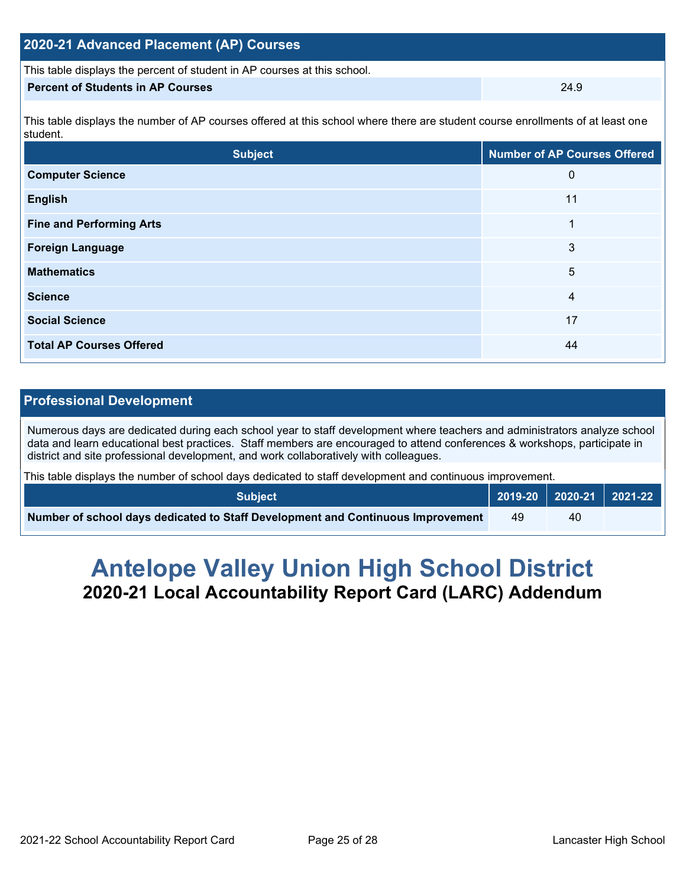| 2020-21 Advanced Placement (AP) Courses                                                                                                    |      |  |  |  |  |
|--------------------------------------------------------------------------------------------------------------------------------------------|------|--|--|--|--|
| This table displays the percent of student in AP courses at this school.                                                                   |      |  |  |  |  |
| <b>Percent of Students in AP Courses</b>                                                                                                   | 24.9 |  |  |  |  |
| This table displays the number of AP courses offered at this school where there are student course enrollments of at least one<br>student. |      |  |  |  |  |
|                                                                                                                                            |      |  |  |  |  |

| <b>Subject</b>                  | <b>Number of AP Courses Offered</b> |
|---------------------------------|-------------------------------------|
| <b>Computer Science</b>         | 0                                   |
| <b>English</b>                  | 11                                  |
| <b>Fine and Performing Arts</b> | 1                                   |
| <b>Foreign Language</b>         | 3                                   |
| <b>Mathematics</b>              | 5                                   |
| <b>Science</b>                  | 4                                   |
| <b>Social Science</b>           | 17                                  |
| <b>Total AP Courses Offered</b> | 44                                  |

### **Professional Development**

Numerous days are dedicated during each school year to staff development where teachers and administrators analyze school data and learn educational best practices. Staff members are encouraged to attend conferences & workshops, participate in district and site professional development, and work collaboratively with colleagues.

This table displays the number of school days dedicated to staff development and continuous improvement.

| <b>Subject</b>                                                                  |  |    | 2019-20 2020-21 2021-22 |
|---------------------------------------------------------------------------------|--|----|-------------------------|
| Number of school days dedicated to Staff Development and Continuous Improvement |  | 40 |                         |

# **Antelope Valley Union High School District 2020-21 Local Accountability Report Card (LARC) Addendum**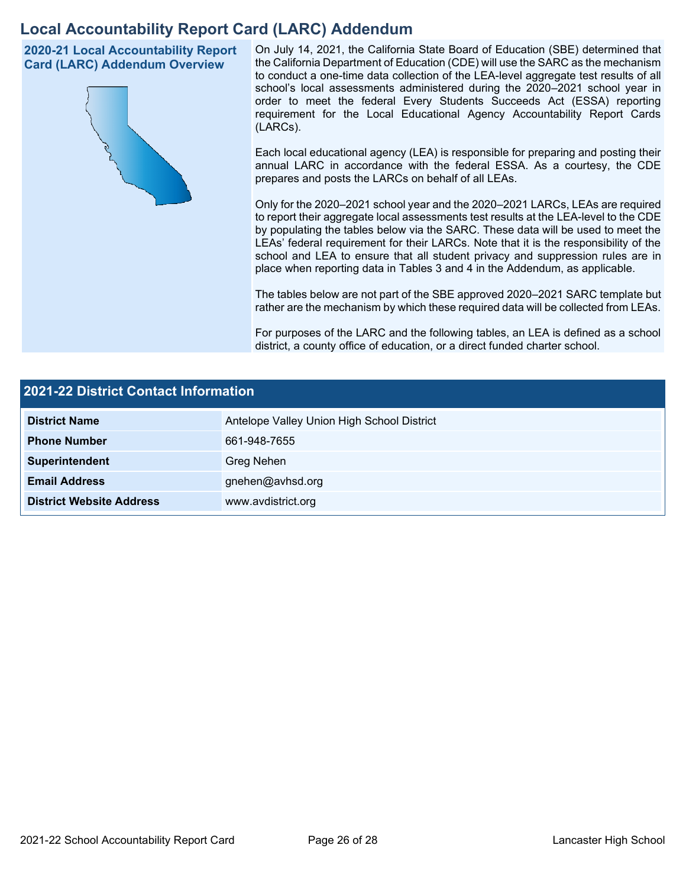# **Local Accountability Report Card (LARC) Addendum**

**2020-21 Local Accountability Report Card (LARC) Addendum Overview**



On July 14, 2021, the California State Board of Education (SBE) determined that the California Department of Education (CDE) will use the SARC as the mechanism to conduct a one-time data collection of the LEA-level aggregate test results of all school's local assessments administered during the 2020–2021 school year in order to meet the federal Every Students Succeeds Act (ESSA) reporting requirement for the Local Educational Agency Accountability Report Cards (LARCs).

Each local educational agency (LEA) is responsible for preparing and posting their annual LARC in accordance with the federal ESSA. As a courtesy, the CDE prepares and posts the LARCs on behalf of all LEAs.

Only for the 2020–2021 school year and the 2020–2021 LARCs, LEAs are required to report their aggregate local assessments test results at the LEA-level to the CDE by populating the tables below via the SARC. These data will be used to meet the LEAs' federal requirement for their LARCs. Note that it is the responsibility of the school and LEA to ensure that all student privacy and suppression rules are in place when reporting data in Tables 3 and 4 in the Addendum, as applicable.

The tables below are not part of the SBE approved 2020–2021 SARC template but rather are the mechanism by which these required data will be collected from LEAs.

For purposes of the LARC and the following tables, an LEA is defined as a school district, a county office of education, or a direct funded charter school.

| 2021-22 District Contact Information |                                            |  |  |  |
|--------------------------------------|--------------------------------------------|--|--|--|
| <b>District Name</b>                 | Antelope Valley Union High School District |  |  |  |
| <b>Phone Number</b>                  | 661-948-7655                               |  |  |  |
| Superintendent                       | Greg Nehen                                 |  |  |  |
| <b>Email Address</b>                 | gnehen@avhsd.org                           |  |  |  |
| <b>District Website Address</b>      | www.avdistrict.org                         |  |  |  |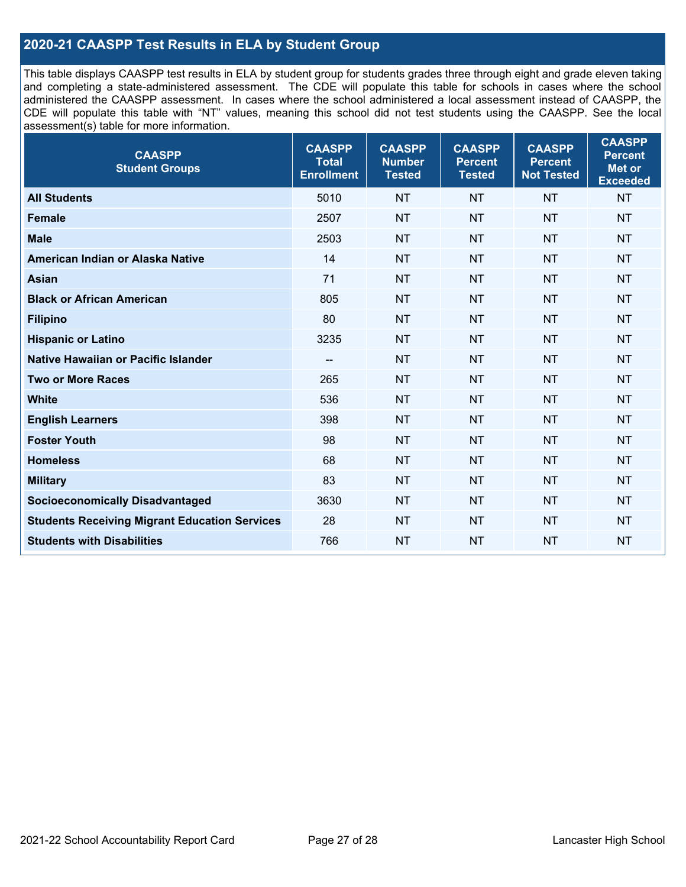### **2020-21 CAASPP Test Results in ELA by Student Group**

This table displays CAASPP test results in ELA by student group for students grades three through eight and grade eleven taking and completing a state-administered assessment. The CDE will populate this table for schools in cases where the school administered the CAASPP assessment. In cases where the school administered a local assessment instead of CAASPP, the CDE will populate this table with "NT" values, meaning this school did not test students using the CAASPP. See the local assessment(s) table for more information.

| <b>CAASPP</b><br><b>Student Groups</b>               | <b>CAASPP</b><br><b>Total</b><br><b>Enrollment</b> | <b>CAASPP</b><br><b>Number</b><br><b>Tested</b> | <b>CAASPP</b><br><b>Percent</b><br><b>Tested</b> | <b>CAASPP</b><br><b>Percent</b><br><b>Not Tested</b> | <b>CAASPP</b><br><b>Percent</b><br>Met or<br><b>Exceeded</b> |
|------------------------------------------------------|----------------------------------------------------|-------------------------------------------------|--------------------------------------------------|------------------------------------------------------|--------------------------------------------------------------|
| <b>All Students</b>                                  | 5010                                               | <b>NT</b>                                       | <b>NT</b>                                        | <b>NT</b>                                            | <b>NT</b>                                                    |
| <b>Female</b>                                        | 2507                                               | <b>NT</b>                                       | <b>NT</b>                                        | <b>NT</b>                                            | <b>NT</b>                                                    |
| <b>Male</b>                                          | 2503                                               | <b>NT</b>                                       | <b>NT</b>                                        | <b>NT</b>                                            | <b>NT</b>                                                    |
| American Indian or Alaska Native                     | 14                                                 | <b>NT</b>                                       | <b>NT</b>                                        | <b>NT</b>                                            | <b>NT</b>                                                    |
| <b>Asian</b>                                         | 71                                                 | <b>NT</b>                                       | <b>NT</b>                                        | <b>NT</b>                                            | <b>NT</b>                                                    |
| <b>Black or African American</b>                     | 805                                                | <b>NT</b>                                       | <b>NT</b>                                        | <b>NT</b>                                            | <b>NT</b>                                                    |
| <b>Filipino</b>                                      | 80                                                 | <b>NT</b>                                       | <b>NT</b>                                        | <b>NT</b>                                            | <b>NT</b>                                                    |
| <b>Hispanic or Latino</b>                            | 3235                                               | <b>NT</b>                                       | <b>NT</b>                                        | <b>NT</b>                                            | <b>NT</b>                                                    |
| Native Hawaiian or Pacific Islander                  | --                                                 | <b>NT</b>                                       | <b>NT</b>                                        | <b>NT</b>                                            | <b>NT</b>                                                    |
| <b>Two or More Races</b>                             | 265                                                | <b>NT</b>                                       | <b>NT</b>                                        | <b>NT</b>                                            | <b>NT</b>                                                    |
| <b>White</b>                                         | 536                                                | <b>NT</b>                                       | <b>NT</b>                                        | <b>NT</b>                                            | <b>NT</b>                                                    |
| <b>English Learners</b>                              | 398                                                | <b>NT</b>                                       | <b>NT</b>                                        | <b>NT</b>                                            | <b>NT</b>                                                    |
| <b>Foster Youth</b>                                  | 98                                                 | <b>NT</b>                                       | <b>NT</b>                                        | <b>NT</b>                                            | <b>NT</b>                                                    |
| <b>Homeless</b>                                      | 68                                                 | <b>NT</b>                                       | <b>NT</b>                                        | <b>NT</b>                                            | <b>NT</b>                                                    |
| <b>Military</b>                                      | 83                                                 | <b>NT</b>                                       | <b>NT</b>                                        | <b>NT</b>                                            | <b>NT</b>                                                    |
| <b>Socioeconomically Disadvantaged</b>               | 3630                                               | <b>NT</b>                                       | <b>NT</b>                                        | <b>NT</b>                                            | <b>NT</b>                                                    |
| <b>Students Receiving Migrant Education Services</b> | 28                                                 | <b>NT</b>                                       | <b>NT</b>                                        | <b>NT</b>                                            | <b>NT</b>                                                    |
| <b>Students with Disabilities</b>                    | 766                                                | <b>NT</b>                                       | <b>NT</b>                                        | <b>NT</b>                                            | <b>NT</b>                                                    |